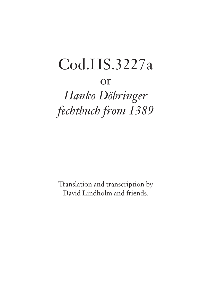# Cod.HS.3227a

# or

*Hanko Döbringer fechtbuch from 1389*

Translation and transcription by David Lindholm and friends.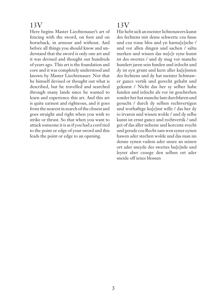Here begins Master Liechtenauer's art of fencing with the sword, on foot and on horseback, in armour and without. And before all things you should know and understand that the sword is only one art and it was devised and thought out hundreds of years ago. This art is the foundation and core and it was completely understood and known by Master Liechtenauer. Not that he himself devised or thought out what is described, but he travelled and searched through many lands since he wanted to learn and experience this art. And this art is quite earnest and righteous, and it goes from the nearest in search of the closest and goes straight and right when you wish to strike or thrust. So that when you want to attack someone it is as if you had a cord tied to the point or edge of your sword and this leads the point or edge to an opening.

# 13V

Hie hebt sich an meister lichtenawers kunst des fechtens mit deme schwerte czu fusse und czu rosse blos und yn harnu[e]sche / und vor allen dingen und sachen / saltu merken und wissen das nu[e]r eyne kunst ist des swertes / und dy mag vor manche hundert jaren sein funden und irdocht und dy ist eyn grunt und kern aller ku[e]nsten des fechtens und dy hat meister lichtnawer gancz vertik und gerecht gehabt und gekunst / Nicht das her sy selber habe funden und irdocht als vor ist geschreben sonder her hat manche lant durchfaren und gesucht / durch dy selben rechtvertigen und worhaftige ku[e]nst wille / das her dy io irvaren und wissen wolde / und dy selbe kunst ist ernst gancz und rechtvertik / und get of das aller neheste und korczste svecht und gerade czu Recht zam wen eyner eynen hawen ader stechen wolde und das man im denne eynen vadem ader snure an seinen ort ader sneyde des swertes bu[e]nde und leytet aber czoege den selben ort ader sneide off ienes blossen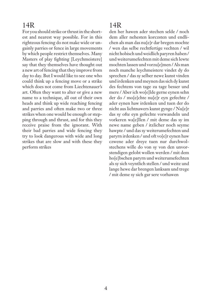For you should strike or thrust in the shortest and nearest way possible. For in this righteous fencing do not make wide or ungainly parries or fence in large movements by which people restrict themselves. Many Masters of play fighting [Leychmeistere] say that they themselves have thought out a new art of fencing that they improve from day to day. But I would like to see one who could think up a fencing move or a strike which does not come from Liechtenauer's art. Often they want to alter or give a new name to a technique, all out of their own heads and think up wide reaching fencing and parries and often make two or three strikes when one would be enough or stepping through and thrust, and for this they receive praise from the ignorant. With their bad parries and wide fencing they try to look dangerous with wide and long strikes that are slow and with these they perform strikes

# 14R

den her hawen ader stechen selde / noch dem aller nehesten korczsten und endlichen als man das nu[e]r dar bregen mochte / wen das selbe rechtfertige vechten / wil nicht hobisch und weidlich paryren haben / und weiterumefechten mit deme sich lewte mochten lassen und vorzu[e]men / Als man noch manche leychmeistere vindet dy do sprechen / das sy selber newe kunst vinden und irdenken und meynen das sich dy kunst des fechtens von tage zu tage besser und mere / Aber ich wo[e]lde gerne eynen sehn der do / mo[e]chte nu[e]r eyn gefechte / ader eynen haw irdenken und tuen der do nicht aus lichtnawers kunst gynge / Nu[e]r das sy ofte eyn gefechte vorwandeln und vorkeren wa[e]llen / mit deme das sy im newe name geben / itzlicher noch seyme hawpte / und das sy weiterumefechten und paryrn irdenken / und oft vo[e]r eynen haw czwene ader dreye tuen nur durchwolstechens wille do von sy von den unvorstendigen gelobt wollen werden / mit dem ho[e]bschen paryrn und weiterumefechten als sy sich veyntlich stellen / und weite und lange hewe dar brengen lanksam und trege / mit deme sy sich gar sere vorhawen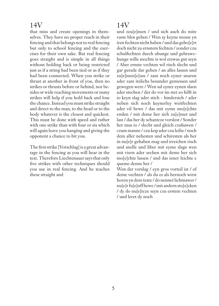that miss and create openings in themselves. They have no proper reach in their fencing and that belongs not to real fencing but only to school fencing and the exercises for their own sake. But real fencing goes straight and is simple in all things without holding back or being restricted just as if a string had been tied or as if they had been connected. When you strike or thrust at another in front of you, then no strikes or thrusts before or behind, nor besides or wide reaching movements or many strikes will help if you hold back and lose the chance. Instead you must strike straight and direct to the man, to the head or to the body whatever is the closest and quickest. This must be done with speed and rather with one strike than with four or six which will again leave you hanging and giving the opponent a chance to hit you.

The first strike [Vorschlag] is a great advantage in the fencing as you will hear in the text. Therefore Liechtenauer says that only five strikes with other techniques should you use in real fencing. And he teaches these straight and

# 14V

und zeu[e]men / und sich auch do mite vaste blos geben / Wen sy keyne mosse yn iren fechten nicht haben / und das geho[e]rt doch nicht zu ernstem fechten / zonder czu schulfechten durch ubunge und gebrawchunge wille mochte is wol etzwas gut seyn / Aber ernste vechten wil risch slecht und gar gerade dar gehen / an alles lassen und zu[e]men[e]uss / zam noch eyner snuren ader zam itzlichs besunder gemessen und gewegen were / Wen sal eyner eynen slaen ader stechen / der do vor im stet zo hilft in io keyn slag ader stich - hindersich / ader neben sich noch keynerley weitfechten ader vil hewe / das mit eyme mo[e]chte enden / mit deme her sich zu[e]met und last / das her dy schantcze vorslest / Sonder her mus io / slecht und gleich czuhawen / czum manne / czu kop ader czu leibe / noch dem aller nehesten und schiresten als her in nu[e]r gehaben mag und irreichen risch und snelle und liber mit eyme slage wen mit viern ader sechen mit deme her sich mo[e]chte lassen / und das iener leichte e queme denne her /

Wen der vorslag / eyn gros vorteil ist / of deme vechten / als du es als hernoch wirst horen yn dem texte / do nennet lichtnawer / nu[e]r fu[e]nff hewe / mit andern sto[e]cken / dy do nu[e]tcze seyn czu erstem vechten / und leret dy noch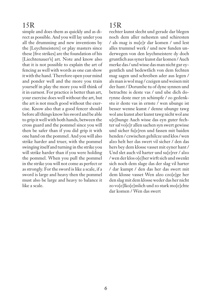simple and does them as quickly and as direct as possible. And you will lay under you all the drumming and new inventions by the [Leychmeistere] or play masters since these [five strikes] are the foundation of his [Liechtenauer's] art. Note and know also that it is not possible to explain the art of fencing as well with words as one can show it with the hand. Therefore open your mind and ponder well and the more you train yourself in play the more you will think of it in earnest. For practice is better than art, your exercise does well without the art, but the art is not much good without the exercise. Know also that a good fencer should before all things know his sword and be able to grip it well with both hands, between the cross guard and the pommel since you will then be safer than if you did grip it with one hand on the pommel. And you will also strike harder and truer, with the pommel swinging itself and turning in the strike you will strike harder than if you were holding the pommel. When you pull the pommel in the strike you will not come as perfect or as strongly. For the sword is like a scale, if a sword is large and heavy then the pommel must also be large and heavy to balance it like a scale.

# 15R

rechter kunst slecht und gerade dar blegen noch dem aller nehesten und schiresten / als mag is nu[e]r dar komen / und lest alles trummel werk / und new funden underwegen von den leychmeistere dy doch gruntlich aus syner kunst dar komen / Auch merke das / und wisse das man nicht gar eygentlich und bedewtlich von dem fechten mag sagen und schreiben ader aus legen / als man is wol mag / czeigen und weisen mit der hant / Dorumbe tu of dyne synnen und betrachte is deste vas / und ube dich dorynne deste mer yn schimpfe / zo gedenkstu ir deste vas in ernste / wen ubunge ist besser wenne kunst / denne ubunge tawg wol ane kunst aber kunst tawg nicht wol ane u[e]bunge Auch wisse das eyn guter fechter sal vo[e]r allen sachen syn swert gewisse und sicher fu[e]ren und fassen mit baiden henden / czwischen gehilcze und klos / wen alzo helt her das swert vil sicher / den das hers bey dem klosse vasset mit eyner hant / Und slet auch vil harter und su[e]rer / alzo / wen der klos o[e]ber wirft sich und swenkt sich noch dem slage das der slag vil harter / dar kumpt / den das her das swert mit dem klosse vasset Wen alzo czo[e]ge her den slag mit dem klosse weder das her nicht zo vo[e]lko[e]mlich und zo stark mo[e]chte dar komen / Wen das swert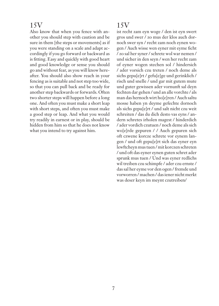Also know that when you fence with another you should step with caution and be sure in them [the steps or movements] as if you were standing on a scale and adapt accordingly if you go forward or backward as is fitting. Easy and quickly with good heart and good knowledge or sense you should go and without fear, as you will know hereafter. You should also show reach in your fencing as is suitable and not step too wide, so that you can pull back and be ready for another step backwards or forwards. Often two shorter steps will happen before a long one. And often you must make a short leap with short steps, and often you must make a good step or leap. And what you would try readily in earnest or in play, should be hidden from him so that he does not know what you intend to try against him.

# 15V

ist recht zam eyn woge / den ist eyn swert gros und swer / zo mus der klos auch dornoch swer syn / recht zam noch eynen wogen / Auch wisse wen eyner mit eyme ficht / zo sal her syner / schrete wol war nemen / und sicher in den seyn / wen her recht zam of eyner wogen stechen sol / hindersich / ader vorsich czu treten / noch deme als sichs gepu[e]rt / gefu[e]ge und gerinklich / risch und snelle / und gar mit gutem mute und guter gewissen ader vornunft sal deyn fechten dar gehen / und an alle vorchte / als man das hernoch wirt ho[e]ren / Auch saltu mosse haben yn deyme gefechte dornoch als sichs gepu[e]rt / und salt nicht czu weit schreiten / das du dich desto vas eyns / andern schretes irholen magest / hinderdich / ader vordich czutuen / noch deme als sich wo[e]rde gepuren / / Auch gepuren sich oft czwene korcze schrete vor eynem langen / und oft gepu[e]rt sich das eyner eyn lewftcheyn mus tuen / mit korczen schreten / und oft das eyner eynen guten schret ader sprunk mus tuen / Und was eyner redlichs wil treiben czu schimpfe / ader czu ernste / das sal her eyme vor den ogen / fremde und vorworren / machen / das iener nicht merkt was deser keyn im meynt czutreiben/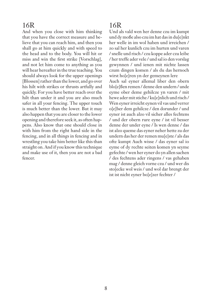And when you close with him thinking that you have the correct measure and believe that you can reach him, and then you shall go at him quickly and with speed to the head and to the body. You will hit or miss and win the first strike [Vorschlag], and not let him come to anything as you will hear hereafter in the true teaching. You should always look for the upper openings [Blossen] rather than the lower, and go over his hilt with strikes or thrusts artfully and quickly. For you have better reach over the hilt than under it and you are also much safer in all your fencing. The upper touch is much better than the lower. But it may also happen that you are closer to the lower opening and therefore seek it, as often happens. Also know that one should close in with him from the right hand side in the fencing, and in all things in fencing and in wrestling you take him better like this than straight on. And if you know this technique and make use of it, then you are not a bad fencer.

# 16R

Und als vald wen her denne czu im kumpt und dy moße also czu im hat das in du[e]nkt her welle in im wol haben und irreichen / zo sal her kunlich czu im hurten und varen / snelle und risch / czu koppe ader czu leibe / her treffe ader vele / und sal io den vorslag gewynnen / und ienen mit nichte lassen czum dingen komen / als du das hernoch wirst ho[e]ren yn der gemeynen lere Auch sal eyner allemal liber den obern blo[e]ßen remen / denne den undern / unde eyme ober deme gehilcze yn varen / mit hewe ader mit stiche / ku[e]nlich und risch / Wen eyner irreicht eynen vil vas und verrer o[e]ber dem gehilcze / den dorunder / und eyner ist auch alzo vil sicher alles fechtens / und der obern rure eyne / ist vil besser denne der under eyne / Is wen denne / das ist alzo queme das eyner neher hette zu der undern das her der remen mu[e]ste / als das ofte kumpt Auch wisse / das eyner sal io eyme of dy rechte seiten komen yn seyme gefechte / wen her eyner do yn allen sachen / des fechtens ader ringens / vas gehaben mag / denne gleich vorne czu / und wer dis sto[ecke wol weis / und wol dar brengt der ist ist nicht eyner bo[e]zer fechter /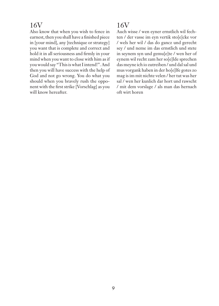Also know that when you wish to fence in earnest, then you shall have a finished piece in [your mind], any [technique or strategy] you want that is complete and correct and hold it in all seriousness and firmly in your mind when you want to close with him as if you would say "This is what I intend!". And then you will have success with the help of God and not go wrong. You do what you should when you bravely rush the opponent with the first strike [Vorschlag] as you will know hereafter.

# 16V

Auch wisse / wen eyner ernstlich wil fechten / der vasse im eyn vertik sto[e]cke vor / wels her wil / das do gancz und gerecht sey / und neme im das ernstlich und stete in seynem syn und gemu[e]te / wen her of eynem wil recht zam her so[e]lde sprechen das meyne ich io zutreiben / und dal sal und mus vorgank haben in der ho[e]lfe gotes zo mag is im mit nichte velen / her tut was her sal / wen her kunlich dar hort und rawscht / mit dem vorslage / als man das hernach oft wirt horen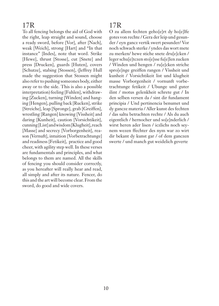To all fencing belongs the aid of God with the right, leap straight and sound, choose a ready sword, before [Vor], after [Nach], weak [Weich], strong [Hart] and "In that instance" [Indes], note that word. Strike [Hewe], thrust [Stosse], cut [Snete] and press [Drucken], guards [Huten], covers [Schutze], stabing [Stossen], (Jeffrey Hull made the suggestion that Stossen might also refer to pushing someones body, either away or to the side. This is also a possible interpretation) feeling [Fuhlen], withdrawing [Zucken], turning [Winden] and hanging [Hengen], pulling back [Rucken], strike [Streiche], leap [Spronge], grab [Greiffen], wrestling [Rangen] knowing [Vissheit] and daring [Kunheit], caution [Vorsichtikeit], cunning [List] and wisdom [Klugheit], reach [Masse] and secrecy [Vorborgenheit], reason [Vernuft], intuition [Vorbetrachtunge] and readiness [Fetikeit], practice and good cheer, with agility step well. In these verses are fundamentals and principles, and what belongs to them are named. All the skills of fencing you should consider correctly, as you hereafter will really hear and read, all simply and after its nature. Fencer, do this and the art will become clear. From the sword, do good and wide covers.

# 17R

O zu allem fechten geho[e]rt dy ho[e]lfe gotes von rechte / Gera der leip und gesunder / eyn gancz vertik swert pesunder/ Vor noch schwach sterke / yndes das wort mete zu merken/ hewe stiche snete dru[e]cken / leger schu[e]tczen sto[e]sse fu[e]len zucken / Winden und hengen / ru[e]cken striche spro[e]nge greiffen rangen / Vissheit und kunheit / Vorsichtikeit list und klugheit masse Vorborgenheit / vornunft vorbetrachtunge fetikeit / Ubunge und guter ilint / motus gelenkheit schrete gut / In den selben versen da / sint dir fundament principia / Und pertinencia benumet und dy gancze materia / Aller kunst des fechten / das saltu betrachten rechte / Als du auch eigentlich / hernocher und so[e]nderlich / wirst heren ader lisen / iczlichs noch seynem wezen ffechter des nym war zo wirt dir bekant dy kunst gar / of dem ganczen swerte / und manch gut weidelich geverte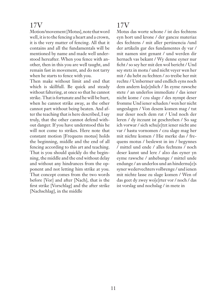Motion/movement [Motus], note that word well, it is to the fencing a heart and a crown, it is the very matter of fencing. All that it contains and all the fundamentals will be mentioned by name and made well understood hereafter. When you fence with another, then in this you are well taught, and remain fast in movement, and do not tarry when he starts to fence with you.

Then make without limit and end that which is skillfull. Be quick and steady without faltering, at once so that he cannot strike. That is fortunate and he will be hurt, when he cannot strike away, as the other cannot part without being beaten. And after the teaching that is here described, I say truly, that the other cannot defend without danger. If you have understood this he will not come to strikes. Here note that constant motion [Frequens motus] holds the beginning, middle and the end of all fencing according to this art and teaching. That is you should quickly do the beginning, the middle and the end without delay and without any hindrances from the opponent and not letting him strike at you. That concept comes from the two words before [Vor] and after [Nach], that is the first strike [Vorschlag] and the after strike [Nachschlag], in the middle

# 17V

Motus das worte schone / ist des fechtens eyn hort und krone / der gancze materiaz des fechtens / mit aller pertinencia /und der artikeln gar des fundamentes dy var / mit namen sint genant / und werden dir hernach vas bekant / Wy denne eyner nur ficht / so sey her mit den wol bericht / Und sey stetz in motu / und nicht veyer wen her mit / du hebt zu fechten / zo treibe her mit rechte / Umbermer und endlich eyns noch dem andern ku[e]nlich / In eyme rawsche stete / an underlos immediate / das iener nicht kome / czu slage / des nympt deser fromme Und iener schaden / wen her nicht ungeslagen / Von desem komen mag / tut nur deser noch dem rat / Und noch der leren / dy itczunt ist geschreben / So sag ich vorwar / sich schu[e]tzt iener nicht ane var / hastu vornomen / czu slage mag her mit nichte komen / Hie merke das / frequens motus / beslewst in im / begynnes / mittel und ende / alles fechtens / noch deser kunst und lere / alzo das eyner yn eyme rawsche / anhebunge / mittel unde endunge / an underlos und an hindernu[e]s syner wedervechters volbrenge / und ienen mit nichte lasse zu slage komen / Wen of das geet dy zwey wo[e]rter vor / noch / das ist vorslag und nochslag / in mete in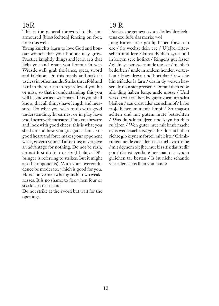This is the general foreword to the unarmoured [blossfechten] fencing on foot, note this well.

Young knights learn to love God and honour women that your honour may grow. Practice knightly things and learn arts that help you and grant you honour in war. Wrestle well; grab the lance, spear, sword and falchion. Do this manly and make it useless in other hands. Strike threefold and hard in there, rush in regardless if you hit or miss, so that in understanding this you will be known as a wise man. This you shall know, that all things have length and measure. Do what you wish to do with good understanding. In earnest or in play have good heart with measure. Thus you beware and look with good cheer; this is what you shall do and how you go against him. For good heart and force makes your opponent weak, govern yourself after this; never give an advantage for nothing. Do not be rash; do not first do four or six (I believe Döbringer is referring to strikes. But it might also be opponents). With your overconfidence be moderate, which is good for you. He is a brave man who fights his own weaknesses. It is no shame to flee when four or six (foes) are at hand

Do not strike at the sword but wait for the openings.

#### 18 R

Das ist eyne gemeyne vorrede des blozfechtens czu fuße das merke wol

Jung Ritter lere / got lip haben frawen io ere / So wechst dein ere / U[e]be ritterschaft und lere / kunst dy dich zyret und in krigen sere hofiret / Ringens gut fesser / glefney sper swert unde messer / menlich bederben / unde in andern henden vorterben / Haw dreyn und hort dar / rawsche hin trif ader la farn / das in dy weisen hassen dy man siet preisen / Dorauf dich zoße alle ding haben lenge unde mosse / Und was du wilt treiben by guter vornunft saltu bleiben / czu crust ader czu schimpf / habe fro[e]lichen mut mit limpf / So magstu achten und mit gutem mute betrachten / Was du salt fu[e]ren und keyn im dich ru[e]ren / Wen guter mut mit kraft macht eyns wedersache czagehaft / dornoch dich richte gib keynem forteil mit ichte / Crimkruheit meide vier ader sechs nicht vortreibe / mit deynem o[e]bermut bis sitik das ist dir gut / der ist eyn ku[e]ner man der synem gleichen tar bestan / Is ist nicht schande vier ader sechs flien von hande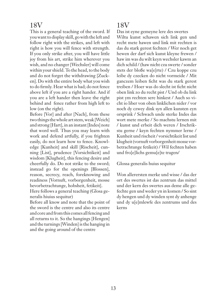This is a general teaching of the sword. If you want to display skill, go with the left and follow right with the strikes, and left with right is how you will fence with strength. If you only strike after, you will have little joy from his art, strike him wherever you wish, and no changer [Wechsler] will come within your shield. To the head, to the body and do not forget the withdrawing [Zucken]. Do with the entire body what you wish to do firmly. Hear what is bad; do not fence above left if you are a right hander. And if you are a left hander then leave the right behind and fence rather from high left to low (on the right).

Before [Vor] and after [Nach], from these two things the whole art stem, weak [Weich] and strong [Hart], in an instant [Indes] note that word well. Thus you may learn with work and defend artfully, if you frighten easily, do not learn how to fence. Knowledge [Kunheit] and skill [Rischeit], cunning [List], prudence [Vorsichtikeit] and wisdom [Klugheit], this fencing desire and cheerfully do. Do not strike to the sword; instead go for the openings [Blossen], reason, secrecy, reach, foreknowing and readiness [Vornuft, vorborgenheit, mosse bevorbetrachtunge, hobsheit, fetikeit].

Here follows a general teaching (Glosa generalis hiuius sequitur)

Before all know and note that the point of the sword is the centre and also its centre and core and from this comes all fencing and all returns to it. So the hangings [Hengen] and the turnings [Winden] is the hanging in and the going around of the centre

# 18V

Das ist eyne gemeyne lere des swertes Wiltu kunst schawen sich link gen und recht mete hawen und link mit rechten is das du stark gerest fechten / Wer noch get hewen der darf sich kunst kleyne frewen / haw im was du wilt keyn wechsler kawm an dich schild / (haw nicht czu swerte / sonder stets der bloße wa[e]rte) / Czu koppe czu leibe dy czecken do nicht vormeide / Mit ganczem leiben ficht was du stark gerest treiben / Hoer was do slecht ist ficht nicht oben link zo du recht pist / Und ob du link pist ym rechten sere hinkest / Auch so vicht io liber von oben linklichen nider / vor noch dy czwey dink syn allen kunsten eyn orsprink / Schwach unde sterke Indes das wort mete merke / So machstu lernen mit / kunst und erbeit dich weren / Irschrikstu gerne / keyn fechten nymmer lerne / Kunheit und rischeit / vorsichtikeit list und klugheit (vornuft vorborgenheit mosse vorbetrachtunge fetikeit) / Wil fechten haben und fro[e]lichs gemu[e]te tragen/

Glossa generalis huius sequitur

Won allerersten merke und wisse / das der ort des swertes ist das zentrum das mittel und der kern des swertes aus deme alle gefechte gen und weder yn in komen / So sint dy hengen und dy winden synt dy anhenge und dy u[e]mlewfe des zentrums und des kerns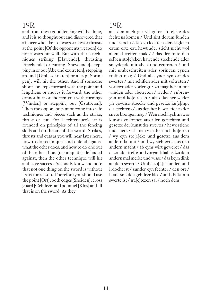and from these good fencing will be done, and it is so thought out and discovered that a fencer who like so always strikes or thrusts at the point [Of the opponents weapon] do not always hit well. But with these techniques striking [Hawende], thrusting [Stechende] or cutting [Sneydende], stepping in or out [Abe und czutreten], stepping around [Umbeschreiten] or a leap [Springen], will hit the other. And if someone shoots or steps forward with the point and lengthens or moves it forward, the other cannot hurt or shorten you with turnings [Winden] or stepping out [Czutreten]. Then the opponent cannot come into safe techniques and pieces such as the strike, thrust or cut. For Liechtenauer's art is founded on principles of all the fencing skills and on the art of the sword. Strikes, thrusts and cuts as you will hear later here, how to do techniques and defend against what the other does, and how to do one out of the other if one(technique) is defended against, then the other technique will hit and have success. Secondly know and note that not one thing on the sword is without its use or reason. Therefore you should use the point [Ort], both edges [Sneiden], cross guard [Gehilcze] and pommel [Klos] and all that is on the sword. As they

### 19R

aus den auch gar vil guter sto[e]cke des fechtens komen / Und sint dorum funden und irdocht / das eyn fechter / der da gleich czum orte czu hewt ader sticht nicht wol allemal treffen mak / / das der mite den selben sto[e]cken hawende stechende ader sneydende mit abe / und czutreten / und mit umbeschreiten ader springen eynen treffen mag / Und ab eyner syn ort des swertes / mit schißen ader mit voltreten / vorlewt ader vorlengt / zo mag her in mit winden ader abetreten / weder / ynbrengen und ko[e]rczen / alzo das her weder yn gewisse stoecke und gesetze ku[e]mpt des fechtens / aus den her hewe stiche ader snete brengen mag / Wen noch lychtnawrs kunst / zo komen aus allen gefechten und gesetze der kunst des swertes / hewe stiche und snete / als man wirt hernoch ho[e]ren / wy eyn sto[e]cke und gesetze aus dem andern kumpt / und wy sich eyns aus den andern macht / ab eyns wirt geweret / das daz ander treffe und vorgank habe Czu dem andern mal merke und wisse / daz keyn dink an dem swerte / Umbe zu[e]st funden und irdocht ist / zunder eyn fechter / den ort / beide sneiden gehilcze klos / und als das am swerte ist / nu[e]tczen sal / noch dem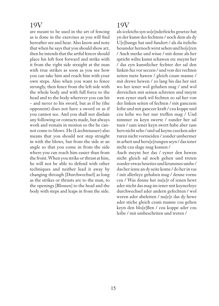are meant to be used in the art of fencing as is done in the exercises as you will find hereafter see and hear. Also know and note that when he says that you should show art, then he intends that the artful fencer should place his left foot forward and strike with it from the right side straight at the man with true strikes as soon as you see how you can take him and reach him with your own steps. Also when you want to fence strongly, then fence from the left side with the whole body and with full force to the head and to the body wherever you can hit – and never to his sword, but as if he (the opponent) does not have a sword or as if you cannot see. And you shall not disdain any following or contacts made, but always work and remain in motion so the he cannot come to blows. He (Liechtenauer) also means that you should not step straight in with the blows, but from the side at an angle so that you come in from the side where you can reach him easier than from the front. When you strike or thrust at him, he will not be able to defend with other techniques and neither lead it away by changing through [Durchwechsel] as long as the strikes or thrusts are to the man, to the openings [Blossen] to the head and the body with steps and leaps in from the side.

### 19V

als iczleichs syn so[e]nderleichs gesetze hat yn der kunst des fechtens / noch dem als dy U[e]bunge hat und fundert / als du itzlichs besunder hernoch wirst sehen und ho[e]ren / Auch merke und wisse / mit deme als her spricht wiltu kunst schawen etc meynt her / das eyn kunstlicher fechter der sal den linken fuz vor seczen / und von der rechten seiten mete hawen / gleich czum manne / mit drewe hewen / zo lang bis das her siet wo her iener wol gehaben mag / und wol dirreichen mit seinen schreten und meynt wen eyner stark wil fechten zo sal her von der linken seiten of fechten / mit ganczem leibe und mit ganczer kraft / czu koppe und czu leibe wo her nur treffen mag / Und nimmer zu keyn swerte / zunder her sal tuen / zam iener keyn swert habe aber zam hers nicht sehe / und sal keyne czecken ader ruren nicht vormeiden / zonder umbermer in arbeit und beru[e]rungen seyn / das iener nicht czu slage mag komen /

Auch meynt her das / eyner den hewen nicht gleich sal noch gehen und treten zonder etwas beseites und krummes umbe / das her ieme an dy seite kome / do her in vas / mit allerleye gehaben mag / denne vorne czu / Was denne her nu[e]r of ienen hewt ader sticht das mag im iener mit keynerleye durchwechsel ader andern gefechten / wol weren ader abeleiten / nu[e]r das dy hewe ader stiche gleich czum manne czu gehen keyn den blo[e]ßen / czu koppe ader czu leibe / mit umbeschriten und treten /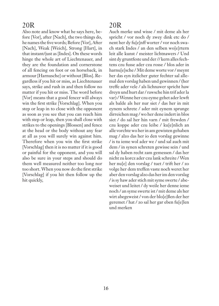Also note and know what he says here, before [Vor], after [Nach], the two things do, he names the five words; Before [Vor], After [Nach], Weak [Weich], Strong [Hart], in that instant/just as [Indes]. On these words hinge the whole art of Liechtenauer, and they are the foundation and cornerstone of all fencing on foot or on horseback, in armour [Harnusche] or without [Blos]. Regardless if you hit or miss, as Liechtenauer says, strike and rush in and then follow no matter if you hit or miss. The word before [Vor] means that a good fencer will always win the first strike [Vorschlag]. When you step or leap in to close with the opponent as soon as you see that you can reach him with step or leap, then you shall close with strikes to the openings [Blossen] and fence at the head or the body without any fear at all as you will surely win against him. Therefore when you win the first strike [Vorschlag] then it is no matter if it is good or painful for the opponent, and you will also be sure in your steps and should do them well measured neither too long nor too short. When you now do the first strike [Vorschlag] if you hit then follow up the hit quickly,

# 20R

Auch merke und wisse / mit deme als her spricht / vor noch dy zwey dink etc do / nent her dy fu[e]nff worter / vor noch swach stark Indes / an den selben wo[e]rtern leit alle kunst / meister lichtnawers / Und sint dy gruntfeste und der // kern alles fechtens czu fusse ader czu rosse / blos ader in harnu[e]sche / Mit deme worte vor / meynt her das eyn itzlicher guter fechter sal allemal den vorslag haben und gewinnen / (her treffe ader vele / als lichnawer spricht haw dreyn und hurt dar / rawsche hin trif ader la var) / Wenne her czu eyme gehet ader lewft als balde als her nur siet / das her in mit eynem schrete / ader mit eynem sprunge dirreichen mag / wo her dene indert in blos siet / do sal her hin varn / mit frewden / czu koppe ader czu leibe / ku[e]nlich an alle vorchte wo her in am gewisten gehaben mag / alzo das her io den vorslag gewinne / is tu ieme wol ader we / und sal auch mit dem / in synen schreten gewisse sein / und sal dy haben recht zam gemessen / das her nicht zu korcz ader czu lank schreite / Wen her nu[e] den vorslag / tuet / trift her / zo volge her dem treffen vaste noch weret her aber den vorslag alzo das her im den vorslag / is sy haw ader stich mit syme swerte / abeweiset und leitet / dy weile her denne ieme noch / an syme swerte ist / mit deme als her wirt abegeweist / von der blo[e]ßen der her geremet / hat / zo sal her gar eben fu[e]len und merken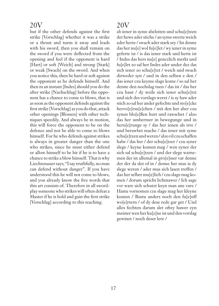but if the other defends against the first strike [Vorschlag] whether it was a strike or a thrust and turns it away and leads with his sword, then you shall remain on the sword if you were deflected from the opening and feel if the opponent is hard [Hart] or soft [Weich] and strong [Stark] or weak [Swach] on the sword. And when you notice this, then be hard or soft against the opponent as he defends himself. And then in an instant [Indes] should you do the after strike [Nachschlag] before the opponent has a chance to come to blows, that is as soon as the opponent defends against the first strike [Vorschlag] as you do that, attack other openings [Blossen] with other techniques speedily. And always be in motion, this will force the opponent to be on the defence and not be able to come to blows himself. For he who defends against strikes is always in greater danger than the one who strikes, since he must either defend or allow himself to be hit if he is to have a chance to strike a blow himself. That is why Liechtenauer says; "I say truthfully, no man can defend without danger". If you have understood this he will not come to blows, and you already know the five words that this art consists of. Therefore in all swordplay someone who strikes will often defeat a Master if he is bold and gain the first strike [Vorschlag] according to this teaching.

# 20V

ab iener in syme abeleiten und schu[e]tzen der hewe ader stiche / an syme swerte weich ader herte / swach ader stark sey / Ist denne das her nu[e] wol fu[e]let / wy iener in syme geferte ist / is das iener stark und herte ist / Indes das hers nu[e] genczlich merkt und fu[e]let zo sal her Indes ader under dez das sich iener zo schu<sup>[e]</sup>tzt / weich und swach dirweder syn / und in den selben e den / das iener czu keyme slage kome / so sal her denne den nochslag tuen / das ist / das her czu haut / dy weile sich iener schu[e]tzt und sich des vorslags weret / is sy haw ader stich zo sal her ander gefechte und sto[e]cke hervo[e]rsu[e]chen / mit den her aber czu synen blo[e]ßen hurt und rawschet / alzo das her umbermer in bewegunge und in beru[e]runge sy / das her ienen als irre / und berawbet mache / das iener mit syme schu[e]tzen und weren / alzo vil czu schaffen habe / das her / der schu[e]tzer / czu syner slege / keyne komen mag / wen eyner der sich sal schu[e]tzen / und der slege warnemen der ist allemal in gro[e]sser var denne der der da slet of in / denne her mus ia dy slege weren / ader mus sich lasen treffen / daz her selber mu[e]lich / czu slage mag komen / dorum spricht lichtnawer / Ich sage vor ware sich schutzt keyn man ane vare / Hastu vornomen czu slage mag her kleyne komen / Bustu anders noch den fu[e]nff wo[e]rtern / of dy dese rede gar get / Und alles fechten darum slet oftey hawer eyn meister wen her ku[e]ne ist und den vorslag gewinet / noch deser lere /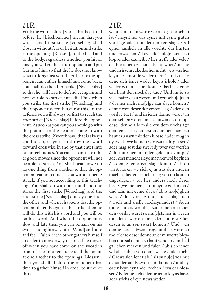With the word before [Vor] as has been told before, he [Liechtenauer] means that you with a good first strike [Vorschlag] shall close in without fear or hesitation and strike at the openings [Blossen], to the head and to the body, regardless whether you hit or miss you will confuse the opponent and put fear into him, so that the he does not know what to do against you. Then before the opponent can gather himself and come back, you shall do the after strike [Nachschlag] so that he will have to defend yet again and not be able to strike himself. Thus when you strike the first strike [Vorschlag] and the opponent defends against this, in the defence you will always be first to reach the after strike [Nachschlag] before the opponent. As soon as you can you should go with the pommel to the head or come in with the cross strike [Zwerchhaw] that is always good to do, or you can throw the sword forward crosswise in and by that enter into other techniques. You can also initiate other good moves since the opponent will not be able to strike. You shall hear how you do one thing from another so that the opponent cannot come at you without being struck, if you act according to this teaching. You shall do with one mind and one strike the first strike [Vorschlag] and the after strike [Nachschlag] quickly one after the other, and when it happens that the opponent defends against the strike, then he will do this with his sword and you will be on his sword. And when the opponent is slow and late then you can remain on his sword and right away turn [Wind] and note and feel [Fulen] if the other gathers himself in order to move away or not. If he moves off when you have come on the sword in front of one another and extend the points at one another to the openings [Blossen], then you shall –before the opponent has time to gather himself in order to strike or thrust-

# 21R

wenne mit dem worte vor als e gesprochen ist / meynt her das eyner mit eyme guten vorslage ader mit dem ersten slage / sal eyner kunlich an alle vorchte dar hurten und rawschen / keyn den blo[e]ssen czu koppe ader czu leibe / her treffe ader vele / das her ienen czu haut als betewbet / mache und in irschrecke das her nicht weis was her keyn desem solle weder tuen / Und auch e dene sich iener weder keyns irhole / ader weder czu im selber kome / das her denne czu hant den nochslag tue / Und im io zo vil schaffe / czu weren und czu schu[e]tzen / das her nicht mo[e]ge czu slage komen / denne wen deser der ersten slag / ader den vorslag tuet / und in iener denne weret / in dem selben weren und schutzen / zo kumpt deser denne alle mal e czu dem nochslage den iener czu den ersten den her mag czu haut czu varn mit dem klosse / ader mag in dy twerhewe komen / dy czu male gut syn / ader mag sost das swert dy twer vor werfen / do mite her in ander gefechte kumpt / ader sost mancherleye mag her wol beginen / e denne iener czu slage kumpt / als du wirst horen wy sich eyns aus den andern macht / das iener nicht mag von im komen ungeslagen / tut her anders noch deser lere / (wenne her sal mit eyme gedanken / und zam mit eyme slage / ab is mo[e]glich were / den vorslag und nochschlag tuen / risch und snelle nocheynander) / Auch mo[e]chte is wol dar czu komen ab iener den vorslag weret so mu[e]ste her in weren mit dem swerte / und alzo mu[e]ste her desen io an syn swert komen / Und wen denne iener etzwas trege und las were zo mo[e]chte deser denne an dem swerte bleyben und sal denne zu hant winden / und sol gar eben merken und fulen / ab sich iener wil abeczihen von dem swerte / ader nicht / Czewt sich iener ab / als sy nu[e] vor mit eynander an dy swert sint komen / und dy orter keyn eynander rechen / czu der blossen / E denne sich / denne iener keyns haws ader stichs of eyn news weder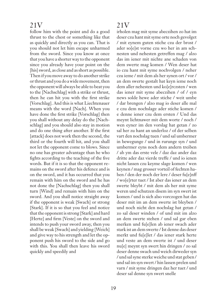follow him with the point and do a good thrust to the chest or something like that as quickly and directly as you can. That is you should not let him escape unharmed from the sword. Since you know at once that you have a shorter way to the opponent since you already have your point on the [his] sword, as close and as short as possible. Then if you move away to do another strike or thrust and you do a wide movement, then the opponent will always be able to beat you to the [Nachschlag] with a strike or thrust, then he can hit you with the first strike [Vorschlag]. And this is what Liechtenauer means with the word [Nach]. When you have done the first strike [Vorschlag] then you shall without any delay do the [Nachschlag] and you should also stay in motion and do one thing after another. If the first [attack] does not work then the second, the third or the fourth will hit, and you shall not let the opponent come to blows. Since no one has greater advantage than he who fights according to the teaching of the five words. But if it is so that the opponent remains on the sword after his defence and is on the sword, and it has occurred that you remain with him on the sword and he has not done the [Nachschlag] then you shall turn [Wind] and remain with him on the sword. And you shall notice straight away if the opponent is weak [Swach] or strong [Stark]. If it is so that you feel and notice that the opponent is strong [Stark] and hard [Herte] and firm [Veste] on the sword and intends to push your sword away, then you shall be weak [Swach] and yielding [Weich] and give way to his strength and let the opponent push his sword to the side and go with this. You shall then leave his sword quickly and speedily and

# 21V

irholen mag mit syme abeczihen zo hat im deser czu hant mit syme orte noch gevolget / mit eynem guten stiche czu der brost / ader so[e]st vorne czu wo her in am schnesten und nehesten getreffen mag / alzo das im iener mit nichte ane schaden von dem swerte mag komen / Wen deser hat io czu hant mit syme nochvolgen / neher czu ieme / mit dem als her synen ort / vor / an dem swerte gestalt hat keyn ieme noch dem aller nehesten und ko[e]rczsten / wen das iener mit syme abeczihen / of / eyn news solde hewe ader stiche / weit umbe / dar brengen / alzo mag io deser alle mal e czu dem nochslage ader stiche komen / e denne iener czu dem ersten / Und das meynt lichtnawer mit dem worte / noch / wen eyner im den vorslag hat getan / zo sal her zu hant an underloz / of der selben vart den nochslag tuen / und sal umbermer in bewegunge / und in rurunge syn / und umbermer eyns noch dem andern treiben / ab ym das erste vele / daz daz ander daz dritte ader daz vierde treffe / und io ienen nicht lassen czu keyme slage komen / wen keynen / mag grosser vorteil of fechten haben / den der noch der lere / deser fu[e]nff / wo[e]rter tuet / Ist aber das iener an dem swerte bleybt / mit dem als her mit syme weren und schutzen disem im syn swert ist komen / und is sich also vorczogen hat das deser mit im an dem swerte ist bleyben / und noch nicht den nochslag hat getan / zo sal deser winden / of und mit im alzo an dem swerte stehen / und sal gar eben merken und fu[e]len ab iener swach ader stark ist an dem swerte / Ist denne das deser merkt und fu[e]let / das iener stark herte und veste an dem swerte ist / und deser nu[e] meynt syn swert hin dringen / zo sal deser denne swach und weich dirweder syn / und sal syne sterke weiche und stat geben / und sal im syn swert / hin lassen prelen und varn / mit syme dringen daz her tuet / und deser sal denne syn swert snelle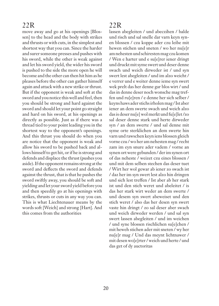move away and go at his openings [Blossen] to the head and the body with strikes and thrusts or with cuts, in the simplest and shortest way that you can. Since the harder and surer someone presses and pushes with his sword, while the other is weak against and let his sword yield, the wider his sword is pushed to the side the more open he will become and the other can then hit him as he pleases before the other can gather himself again and attack with a new strike or thrust. But if the opponent is weak and soft at the sword and you notice this well and feel, then you should be strong and hard against the sword and should let your point go straight and hard on his sword, at his openings as directly as possible. Just as if there was a thread tied to your point leading you in the shortest way to the opponent's openings. And this thrust you should do when you are notice that the opponent is weak and allow his sword to be pushed back and allows himself to get hit, or if he is strong and defends and displace the thrust (pushes you aside). If the opponent remains strong at the sword and deflects the sword and defends against the thrust, that is that he pushes the sword swiftly away, you should be soft and yielding and let your sword yield before you and then speedily go at his openings with strikes, thrusts or cuts in any way you can. This is what Liechtenauer means by the words soft [Weich] and strong [Hart]. And this comes from the authorities

# $22R$

lassen abegleiten / und abeczihen / balde und risch und sal snelle dar varn keyn synen blossen / czu koppe ader czu leibe mit hewen stichen und sneten / wo her nu[e]r am nehesten und schiresten mag czu komen / Wen e harter und e su[e]rer iener dringt und druckt mit syme swert und deser denne swach und weich dirweder ist / und syn swert lest abegleiten / und im alzo weicht / e verrer und e weiter denne ieme syn swert wek prelt das her denne gar blos wirt / und das in denne deser noch wonsche mag treffen und ru[e]ren / e denne her sich selber / keyns haws ader stichs irholen mag / Ist aber iener an dem swerte swach und weich alzo das is deser nu[e] wol merkt und fu[e]let /zo sal deser denne stark und herte dirweder syn / an dem swerte / und sal denne mit syme orte sterklichen an dem swerte hin varn und rawschen keyn iens blossen gleich vorne czu / wo her am nehesten mag / recht zam im eyn snure ader vadem / vorne an synen ort were gebunden / der im synen ort of das neheste / weizet czu eines blossen / und mit dem selben stechen das deser tuet / Wirt her wol gewar ab iener zo swach ist / daz her im syn swert lest alzo hin dringen und sich lest treffen / Ist aber ab her stark ist und den stich weret und abeleitet / is das her stark wirt weder an dem swerte / und desem syn swert abeweiset und den stich weret / also das her desen syn swert vaste hin dringt / zo sal deser aber swach und weich dirweder werden / und sal syn swert lassen abegleiten / und im weichen / und syne blossen rischlichen su[e]chen / mit heweh stichen ader mit sneten / wy her nu[e]r mag / Und das meynt lichtnawer / mit desen wo[e]rter / weich und herte / und das get of dy auctoritas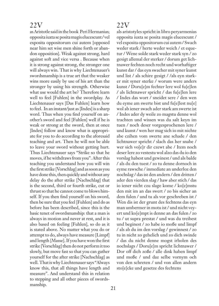as Aristotle said in the book Peri Hermanias; opposita iuxta se posita magis elucescunt / vel exposita oppositorum cui autem [opposed near him set wise men shine forth or abandon opposition]. Weak against strong, hard against soft and vice versa . Because when it is strong against strong, the stronger one will always win. That is why Liechtenauer's swordsmanship is a true art that the weaker wins more easily by use of his art than the stronger by using his strength. Otherwise what use would the art be? Therefore learn well to feel [Fuhlen] in the swordplay. As Liechtenauer says [Das Fuhlen] learn how to feel. In an instant/just as [Indes] is a sharp word. Thus when you find yourself on another's sword and feel [Fuhlen] well if he is weak or strong at the sword, then at once [Indes] follow and know what is appropriate for you to do according to the aforesaid teaching and art. Then he will not be able to leave your sword without getting hurt. Thus Liechtenauer says "Strike so that he moves, if he withdraws from you". After this teaching you understand how you will win the first strike [Vorschlag] and as soon as you have done this, then quickly and without any delay do the after strike [Nachschlag] that is the second, third or fourth strike, cut or thrust so that he cannot come to blows himself. If you then find yourself on his sword, then be sure that you feel [Fuhlen] and do as before has been described, since this is the basic tenet of swordsmanship: that a man is always in motion and never at rest, and it is also based on feeling [Fuhlen], so do as it is stated above. No matter what you do or attempt to do, always have measure [Limpf] and length [Masse]. If you have won the first strike [Vorschlag] then do not perform it too slowly, but move fast so that you can gather yourself for the after strike [Nachschlag] as well. That is why Liechtenauer says "Always know this, that all things have length and measure". And understand this in relation to stepping and all other pieces of swordsmanship.

#### 22V

als aristotyles spricht in libro peryarmenias opposita iuxta se posita magis elucescunt / vel exposita oppositorum cui autem / Swach weder stark / herte weder weich / et equetur / Wene solde stark weder stark syn / zo gesigt allemal der sterker / dorum get lichtnawer fechten noch recht und worhaftiger kunst dar / das eyn swacher mit syner kunst und list / als schire gesigt / /als eyn starker mit syner sterke / worum were anders kunst / Doru[e]m fechter lere wol fu[e]len / als lichtnawer spricht / das fu[e]len lere / Indes das wort / sneidet sere / den wen du eyme am swerte bist und fu[e]lest nu[e] wol ab iener swach ader stark am swerte ist / Indes ader dy weile zo magstu denne wol trachten und wissen was du salt keyn im tuen / noch deser vorgesprochenen lere / und kunst / wen her mag sich io mit nichte abe czihen vom swerte ane schade / den lichtnawer spricht / slach das her snabe / wer sich vo[e]r dir czewt abe / Item noch deser lere zo vestestu wol alzo das du io den vorslag habest und gewinest / und als balde / als du den tuest / zo tu denne dornoch in eyme rawsche / inmediate an underloz den nochslag / das ist den andern / den dritten / ader den vierden slag / haw aber stich / das io iener nicht czu slage kome / ko[e]mstu den mit im an das swert / zo bis sicher an dem fulen / und tu als vor geschreben ist / Wen dis ist der grunt des fechtens das eyn man umbermer in motu ist / und nicht veyert und ko[e]mpt is denne an das fulen / zo tu / ut supra prestat / und was du treibest und beginest / zo habe io moße und limpf / als ab du im den vorslag / gewinnest / zo tu in nicht zo gehelich und zo dich swinde / das du nicht denne mogst irholen des nochslags / Doru[e]m spricht lichtnawer / Dor off dich zoße / alle dink haben limpf und moße / und daz selbe vornym och von den schreten / und von allen andern sto[e]cke und gesetze des fechtens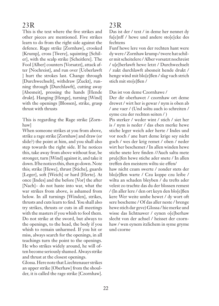This is the text where the five strikes and other pieces are mentioned. Five strikes learn to do from the right side against the defence. Rage strike [Zornhaw], crooked [Krump], cross [Twere], squinting [Schiler], with the scalp strike [Scheitlere]. The Fool [Alber] counters [Vorsatzt], attack after [Nochreist], and run over [Ueberlawft ] hurt the strokes last. Change through [Durchwechselt], withdraw [Zuckt], running through [Durchlawft], cutting away [Abesneit], pressing the hands [Hende drukt]. Hanging [Henge], turning [Wind] with the openings [Blossen], strike, grasp thrust with thrusts

This is regarding the Rage strike [Zornhaw]

When someone strikes at you from above, strike a rage strike [Zornhaw] and draw (or slide?) the point at him, and you shall also step towards the right side. If he notices this, take away from above without fear, be stronger, turn [Wind] against it, and take it down. If he notices this, then go down. Note this; strike [Hewe], thrust [Stiche], guards [Leger], soft [Weich] or hard [Herte]. At once [Indes] and the before [Vor] the after [Nach]– do not haste into war, what the war strikes from above, is ashamed from below. In all turnings [Winden], strikes, thrusts and cuts learn to find. You shall also try strikes, thrusts or cuts in all meetings with the masters if you whish to fool them. Do not strike at the sword, but always to the openings, to the head, the body if you whish to remain unharmed. If you hit or miss, always search for the openings, in all teachings turn the point to the openings. He who strikes widely around, he will often become seriously shamed. Always strike and thrust at the closest openings.

Glossa. Here note that Liechtenauer strikes an upper strike [Oberhaw] from the shoulder, it is called the rage strike [Czornhaw].

# 23R

Das ist der / text / in deme her nennet dy fu[e]nff / hewe und andere sto[e]cke des fechtens

Funf hewe lere von der rechten hant were dy were / Zornhaw krump / twere hat schiler mit scheitelere / Alber vorsatzt nochreist / u[e]berlawft hewe letzt / Durchwechselt / zukt durchlawft abesneit hende drukt / henge wind mit blo[e]ßen / slag vach strich stich mit sto[e]ßen /

#### Das ist von deme Czornhawe /

Der dir oberhawet / czornhaw ort deme drewet / wirt her is gewar / nym is oben ab / ane vaer / (Und soltu auch io schreiten / eyme czu der rechten seiten / )

Pis sterker / weder wint / stich / siet her is / nym is neder / das eben merke hewe stiche leger weich ader herte / Indes und vor noch / ane hurt deme krige sey nicht goch / wes der krig remet / oben / neder wirt her beschemet / In allen winden hewe stiche snete lere finden //Auch saltu mete pru[e]fen hewe stiche ader snete / In allen treffen den meistern wiltu sie effen/ haw nicht czum swerte / zonder stets der blo[e]ßen warte / Czu koppe czu leibe / wiltu an schaden bleyben / du trefts ader velest zo trachte das du der blossen remest / (In aller lere / den ort keyn den blo[e]ßen kere Wer weite umbe hewet / dy wort oft sere bescheme / Of das aller neste / brenge hewe stich dar geve) Glossa / hie merke und wisse das lichtnawer / eynen o[e]berhaw slecht von der achsel / heisset der czornhaw / wen eynem itzlichem in syme gryme und czorne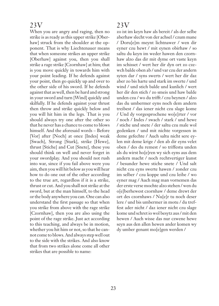When you are angry and raging, then no strike is as ready as this upper strike [Oberhaw] struck from the shoulder at the opponent. That is why Liechtenauer means that when someone strikes an upper strike [Oberhaw] against you, then you shall strike a rage strike [Czornhaw] at him; that is you move quickly in towards him with your point leading. If he defends against your point, then go quickly up and over to the other side of his sword. If he defends against that as well, then be hard and strong in your sword and turn [Wind] quickly and skilfully. If he defends against your thrust then throw and strike quickly below and you will hit him in the legs. That is you should always try one after the other so that he never has a chance to come to blows himself. And the aforesaid words – Before [Vor] after [Noch] at once [Indes] weak [Swach], Strong [Stark], strike [Hewe], thrust [Stiche] and Cut [Snete], these you should think on well and never forget in your swordplay. And you should not rush into war, since if you fail above were you aim, then you will hit below as you will hear how to do one out of the other according to the true art, regardless if it is a strike, thrust or cut. And you shall not strike at the sword, but at the man himself, to the head or the body anywhere you can. One can also understand the first passage so that when you strike from above with the rage strike [Czornhaw], then you are also using the point of the rage strike. Just act according to this teaching, and always be in motion, whether you hit him or not, so that he cannot come to blows. And always step well out to the side with the strikes. And also know that from two strikes alone come all other strikes that are possible to name:

#### 23V

zo ist im keyn haw als bereit / als der selbe aberhaw slecht von der achsel / czum mane / Doru[e]m meynt lichtnawer / wen dir eyner czu hewt / mit eynen obirhaw / so saltu du keyn im weder hawen den czornhaw alzo das dir mit dyme ort vaste keyn im schisset / wert her dir dyn ort zo czewch balde oben ab / und var czu der andern syten dar / syns swerts / wert her dir daz aber zo bis harte und stark im swerte / und wind / und stich balde und kunlich / wert her dir den stich / zo smeis und haw balde unden czu / wo du trifft / czu beynen / alzo das du umbermer eyns noch dem andern treibest / das iener nicht czu slage kome / Und dy vorgesprochene wo[e]rter / vor / noch / Indes / swach / stark / und hewe / stiche und snete / der saltu czu male wol gedenken / und mit nichte vorgessen in deme gefechte / Auch saltu nicht sere eylen mit deme krige / den ab dir eyns velet oben / des du remest / so triffestu unden als du wirst ho[e]ren wy sich eyns aus dem andern macht / noch rechtvertiger kunst / besunder hewe stiche snete / Und salt nicht czu eyns swerte hawen / zonder czu im selber / czu koppe und czu leibe / wo eyner mag / Auch mag man vornemen das der erste verse mochte alzo stehen / wen du o[e]berhewest czornhaw / deme drewt der ort des czornhaws / Nu[e]r tu noch deser lere / und bis umbermer in motu / du treffest ader nicht / daz iener nicht czu slage kome und schret io wol besytz aus / mit den hewen / Auch wisse das nur czwene hewe seyn aus den allen hewen ander komen wy dy umber genant mo[e]gen werden /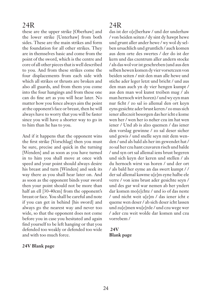these are the upper strike [Oberhaw] and the lower strike [Unterhaw] from both sides. These are the main strikes and form the foundation for all other strikes. They are in themselves basic and come from the point of the sword, which is the centre and core of all other pieces that is well described to you. And from these strikes come the four displacements from each side with which all strikes or thrusts are broken and also all guards, and from them you come into the four hangings and from these one can do fine art as you will hear later. No matter how you fence always aim the point at the opponent's face or breast, then he will always have to worry that you will be faster since you will have a shorter way to go in to him than he has to you.

And if it happens that the opponent wins the first strike [Vorschlag] then you must be sure, precise and quick in the turning [Wenden] and as soon as you have turned in to him you shall move at once with speed and your point should always desire his breast and turn [Winden] and seek its way there as you shall hear later on. And as soon as the opponent binds your sword then your point should not be more than half an ell [30-40cm] from the opponent's breast or face. You shall be careful and note if you can get in behind [his sword] and always go the nearest way and never too wide, so that the opponent does not come before you in case you hesitated and again find yourself to be left hanging or that you defended too weakly or defended too wide and with too much force.

#### **24V Blank page**

#### 24R

das ist der o[e]berhaw / und der underhaw / von beiden seiten / dy sint dy hawpt hewe und grunt aller ander hewe / wy wol dy selben ursachlich und gruntlich / auch komen aus dem orte des swertes / der do ist der kern und das czentrum aller andern stocke / als das wol vor ist geschreben (und aus den selben hewen komen dy vier vorsetczen von beiden seiten / mit den man alle hewe und stiche ader leger letzt und bricht / und aus den man auch yn dy vier hengen kumpt / aus den man wol kunst treiben mag / als man hernoch wirt horen) / und wy eyn man nur ficht / zo sal io allemal den ort keyn eyns gesichte ader brust keren / zo mus sich iener alleczeit besorgen das her icht e kome wen her / wen her io neher czu im hat wen iener / Und ab is alzo quemen / das iener den vorslag gewinne / zo sal deser sicher und gewis / und snelle seyn mit dem wenden / und als bald als her im gewendet hat / zo sal her czu hant czuvaren risch und balde / und syn ort sal allemal iens brust begeren und sich keyn der keren und stellen / als du hernoch wirst vas horen / und der ort / als bald her eyme an das swert kumpt / / der sal allemal kawme u[e]m eyne halbe ele verre / von iens brust ader gesichte seyn / und des gar wol war nemen ab her yndert dar komen mo[e]chte / und io of das neste / und nicht weit u[e]m / das iener icht e queme wen deser / ab sich deser icht lassen und zu[e]men wu[e]rde / und czu wege wer / ader czu weit wolde dar komen und czu vorrebem /

#### **24V Blank page**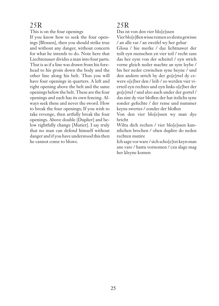This is on the four openings

If you know how to seek the four openings [Blossen], then you should strike true and without any danger, without concern for what he intends to do. Note here that Liechtenauer divides a man into four parts. That is as if a line was drawn from his forehead to his groin down the body and the other line along his belt. Thus you will have four openings in quarters. A left and right opening above the belt and the same openings below the belt. These are the four openings and each has its own fencing. Always seek these and never the sword. How to break the four openings; If you wish to take revenge, then artfully break the four openings. Above double [Duplier] and below rightfully change [Mutier]. I say truly that no man can defend himself without danger and if you have understood this then he cannot come to blows.

# 25R

Das ist von den vier blo[e]ssen

Vier blo[e]ßen wisse remen zo slestu gewisse / an alle var / an zweifel wy her gebar

Glosa / hie merke / daz lichtnawer der teilt eyn menschen yn vier teil / recht zam das her eym von der scheitel / eyn strich vorne gleich neder machte an sym leybe / bis her neder czwischen syne beyne / und den andern strich by der go[e]rtel dy czwere o[e]ber den / leib / zo werden vier vierteil eyn rechtes und eyn links o[e]ber der go[e]rtel / und alzo auch under der gortel / das sint dy vier bloßen der hat itzlichs syne sonder gefechte / der reme und nummer keyns swertes / zonder der bloßen

Von den vier blo[e]ssen wy man dye bricht

Wiltu dich rechen / vier blo[e]ssen kunstlichen brechen / oben duplire do neden rechten mutire

Ich sage vor ware / sich scho[e]tzt keyn man ane vare / hastu vornomen / czu slage mag her kleyne komen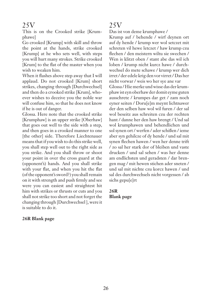This is on the Crooked strike [Krumphawe]

Go crooked [Krump] with skill and throw the point at the hands, strike crooked [Krump] at he who sets well, with steps you will hurt many strokes. Strike crooked [Krum] to the flat of the master when you wish to weaken him.

When it flashes above step away that I will applaud. Do not crooked [Krum] short strikes, changing through [Durchwechsel] and then do a crooked strike [Krum], whoever wishes to deceive you the noble war will confuse him, so that he does not know if he is out of danger.

Glossa. Here note that the crooked strike [Krumphaw] is an upper strike [Oberhaw] that goes out well to the side with a step, and then goes in a crooked manner to one [the other] side. Therefore Liechtenauer means that if you wish to do this strike well, you shall step well out to the right side as you strike. And you shall throw or shoot your point in over the cross guard at the (opponent's) hands. And you shall strike with your flat, and when you hit the flat (of the opponent's sword?) you shall remain on it with strength and push firmly and see were you can easiest and straightest hit him with strikes or thrusts or cuts and you shall not strike too short and not forget the changing through [Durchwechsel ], were it is suitable to do it.

#### **26R Blank page**

### 25V

Das ist von deme krumphawe /

Krump auf / behende / wirf deynen ort auf dy hende / krump wer wol setczet mit schreten vil hewe letczet / haw krump czu flechen / den meistern wiltu sie swechen / Wen is klitzt oben / stant abe das wil ich loben / krump nicht kurcz hawe / durchwechsel do mete schawe / krump wer dich irret / der edele krig den vor virret / Das her nicht vorwar / weis wo her sye ane var Glossa / Hie merke und wisse das der krum-

phaw ist eyn oberhaw der domit eyme guten ausschrete / krumpes dar get / zam noch eyner seiten / Doru[e]m meynt lichtnawer der den selben haw wol wil furen / der sal wol beseitz aus schreiten czu der rechten hant / danne her den haw brengt / Und sal wol krumphawen und behendlichen und sol synen ort / werfen / ader schißen / ieme aber syn gehilcze of dy hende / und sal mit synen flechen hawen / wen her denne trift / zo sal her stark dor of bleiben und vaste drucken / und sal sehen / was her denne am endlichsten und geradsten / dar brengen mag / mit hewen stichen ader sneten / und sal mit nichte czu korcz hawen / und sal des durchwechsels nicht vorgessen / ab sichs gepu[e]rt

#### **26R Blank page**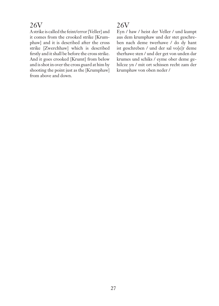A strike is called the feint/error [Veller] and it comes from the crooked strike [Krumphaw] and it is described after the cross strike [Zwerchhaw] which is described firstly and it shall be before the cross strike. And it goes crooked [Krumt] from below and is shot in over the cross guard at him by shooting the point just as the [Krumphaw] from above and down.

# 26V

Eyn / haw / heist der Veller / und kumpt aus dem krumphaw und der stet geschreben nach deme twerhawe / do dy hant ist geschreben / und der sal vo[e]r deme therhawe sten / und der get von unden dar krumes und schiks / eyme ober deme gehilcze yn / mit ort schissen recht zam der krumphaw von oben neder /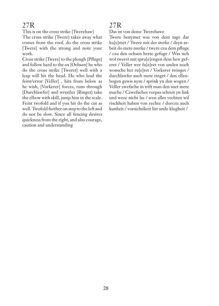This is on the cross strike [Twerehaw]

The cross strike [Twere] takes away what comes from the roof, do the cross strike [Twere] with the strong and note your work.

Cross strike [Twere] to the plough [Pfluge] and follow hard to the ox [Ochsen] he who do the cross strike [Tweret] well with a leap will hit the head. He who lead the feint/error [Veller] , hits from below as he wish, [Vorkerer] forces, runs through [Durchlawfer] and wrestles [Ringet] take the elbow with skill, jump him in the scale. Feint twofold and if you hit do the cut as well. Twofold further on step to the left and do not be slow. Since all fencing desires quickness from the right, and also courage, caution and understanding

# 27R

Das ist von deme Twerehawe

Twere benymet was von dem tage dar ku[e]met / Twere mit der sterke / deyn arbeit do mete merke / twere czu dem pfluge / czu den ochsen herte gefuge / Was sich wol tweret mit spru[e]engen dem hew geferet / Veller wer fu[e]ret von unden noch wonsche her ru[e]ret / Vorkerer twinget / durchlawfer auch mete ringet / den ellenbogen gewis nym / sprink yn den wogen / Veller zwefache in trift man den snet mete mache / Czwefaches vorpas schreit yn link und weze nicht las / wen alles vechten wil rischheit haben von rechte / dorczu auch kunheit / vorsichtikeit list unde klugheit /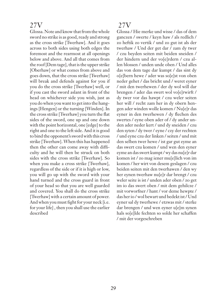Glossa. Note and know that from the whole sword no strike is as good, ready and strong as the cross strike [Twerhaw]. And it goes across to both sides using both edges the foremost and the rearmost at all openings below and above. And all that comes from the roof [Dem tage], that is the upper strike [Oberhaw] or what comes from above and goes down, that the cross strike [Twerhaw] will break and defends against for you if you do the cross strike [Twerhaw] well, or if you cast the sword aslant in front of the head on whichever side you wish, just as you do when you want to get into the hangings [Hengen] or the turning [Winden]. In the cross strike [Twerhaw] you turn the flat sides of the sword, one up and one down with the point horizontal, one [edge] to the right and one to the left side. And it is good to bind the opponent's sword with this cross strike [Twerhaw]. When this has happened then the other can come away with difficulty and he will then be struck on both sides with the cross strike [Twerhaw]. So when you make a cross strike [Twerhaw], regardless of the side or if it is high or low, you will go up with the sword with your hand turned and the cross guard in front of your head so that you are well guarded and covered. You shall do the cross strike [Twerhaw] with a certain amount of power. And when you must fight for your neck [i.e. for your life] , then you shall use the earlier described

# 27V

Glossa / Hie merke und wisse / das of dem ganczen / swerte / keyn haw / als redlich / zo heftik zo vertik / und zo gut ist als der twerhaw / Und der get dar / zam dy twer / czu beyden seiten mit beiden sneiden / der hindern und der vo[e]rdern / czu allen blossen / unden unde oben / Und alles das von dem tage dar kumpt / das sint dy o[e]bern hewe / ader was so[e]st von oben neder gehet / das bricht und / weret eyner / mit den twerhewen / der dy wol will dar brengen / ader das swert wol vo[e]rwirft / dy twer vor das hawpt / czu weler seiten her will / recht zam her in dy obern hengen ader winden wolle komen / Nu[e]r das eyner in den twerhewen / dy flechen des swertes / eyne oben ader of / dy ander unden ader neder kert / und dy sneiden / czu den syten / dy twer / eyne / czy der rechten / und eyne czu der linken / seiten / und mit den selben twer hewe / ist gar gut eyme an das swert czu komen / und wen den eyner eyme an das swert kumpt / wy das nu[e]r dar komen ist / zo mag iener mu[e]lich von im komen / her wirt von desem geslagen / czu beiden seiten mit den twerhawen / den wy her eynen twerhaw nu[e]r dar brengt / czu weler seite is ist / unden ader oben / zo get im io das swert oben / mit dem gehilcze / mit vorworfner / hant / vor deme hewpte / das her io / wol bewart und bedekt ist / Und eyner sal dy twerhewe / etzwas mit / sterke dar brengen / und wen eyner u[e]m synen hals so[e]lde fechten so solde her schaffen / mit der vorgeschreben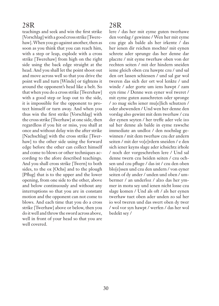teachings and seek and win the first strike [Vorschlag] with a good cross strike [Twerehaw]. When you go against another, then as soon as you think that you can reach him, with a step or leap, explode with a cross strike [Twerehaw] from high on the right side using the back edge straight at the head. And you shall let the point shoot out and move across well so that you drive the point well and turn [Winde] or tightens it around the opponent's head like a belt. So that when you do a cross strike [Twerehaw] with a good step or leap out to the side, it is impossible for the opponent to protect himself or turn away. And when you thus win the first strike [Vorschlag] with the cross strike [Twerhaw] at one side, then regardless if you hit or miss, you shall at once and without delay win the after strike [Nachschlag] with the cross strike [Twerhaw] to the other side using the forward edge before the other can collect himself and come to blows or other techniques according to the afore described teachings. And you shall cross strike [Twern] to both sides, to the ox [Ochs] and to the plough [Pflug] that is to the upper and the lower opening, from one side to the other, above and below continuously and without any interruptions so that you are in constant motion and the opponent can not come to blows. And each time that you do a cross strike [Twerhaw] above or below, then you do it well and throw the sword across above, well in front of your head so that you are well covered.

# 28R

lere / das her mit eyme guten twerhawe den vorslag / gewinne / Wen her mit eyme czu gige als balde als her irkente / das her ienen dir reichen mochte/ mit eynen schrete ader sprunge das her denne dar placzte / mit eyme twerhaw oben von der rechten seiten / mit der hindern sneiden ieme gleich oben czu hawpte czu / und sal den ort lassen schiessen / und sal gar wol tweren das sich der ort wol lenkte / und winde / ader gorte um iens hawpt / zam eyn rime / Denne wen eyner wol tweret / mit eyme guten ausschreten oder spronge / zo mag sichs iener mu[e]lich schutzen / oder abewenden / Und wen her denne den vorslag also gewint mit dem twerhaw / czu der eynen seyten / her treffe ader vele izo sal her denne als balde in eyme rawsche immediate an undloz / den nochslag gewinnen / mit dem twerhaw czu der andern seiten / mit der vo[e]rdern sneiden / e den sich iener keyns slage ader ichsichtz irhole / noch der vorgeschreben lere / Und sal denne twern czu beiden seiten / czu ochsen und czu pfluge / das ist / czu den oben blo[e]ssen und czu den undern / von eyner seiten of dy ander / unden und oben / umbermer / an underloz / alzo das her ymmer in motu sey und ienen nicht losse czu slage komen / Und als oft / als her eynen twerhaw tuet oben ader unden zo sal her io wol tweren und das swert oben dy twer / wol vor syn hawpt / werfen / das her wol bedekt sey /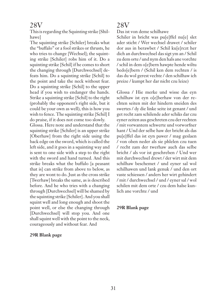This is regarding the Squinting strike [Shilhawe]

The squinting strike [Schiler] breaks what the "buffalo" or a fool strikes or thrusts, he who tries to change [Wechsel]; the squinting strike [Schiler] robs him of it. Do a squinting strike [Schil] if he comes to short the changing through [Durchwechsel] defeats him. Do a squinting strike [Schil] to the point and take the neck without fear. Do a squinting strike [Schil] to the upper head if you wish to endanger the hands. Strike a squinting strike [Schil] to the right (probably the opponent's right side, but it could be your own as well), this is how you wish to fence. The squinting strike [Schil] I do praise, if it does not come too slowly.

Glossa. Here note and understand that the squinting strike [Schiler] is an upper strike [Oberhaw] from the right side using the back edge on the sword, which is called the left side, and it goes in a squinting way and is sent to one side with a step to the right with the sword and hand turned. And this strike breaks what the buffalo [a peasant that is] can strike from above to below, as they are wont to do. Just as the cross strike [Twerhaw] breaks the same, as is described before. And he who tries with a changing through [Durchwechsel] will be shamed by the squinting strike [Schiler]. And you shall squint well and long enough and shoot the point well, or else the changing through [Durchwechsel] will stop you. And one shall squint well with the point to the neck, courageously and without fear. And

#### **29R Blank page**

### 28V

Das ist von deme schilhawe

Schiler in bricht was pu<sup>[e]</sup>ffel nu<sup>[e]</sup> slet ader sticht / Wer wechsel drawet / schiler dor aus in berawbet / Schil ku[e]rczt her dich an durchwechsel das sigt ym an / Schil zu dem orte / und nym den hals ane vorchte / schil in dem o[e]bern hawpte hende wiltu bedo[e]bern / (Schil ken dem rechten / is das du wol gerest vechte / den schilhaw ich preize / kumpt her dar nicht czu leize)

Glossa / Hie merke und wisse das eyn schilhaw ist eyn o[e]berhaw von der rechten seiten mit der hindern sneiden des swertes / dy die linke seite ist genant / und get recht zam schilende ader schiks dar czu eyner zeiten aus geschreten czu der rechten / mit vorwantem schwerte und vorworfner hant / Und der selbe haw der bricht als das pu[e]ffel das ist eyn pawer / mag geslaen / von oben neder als sie phlelen czu tuen / recht zam der twerhaw auch das selbe bricht / als vor ist geschreben / Und wer mit durchwechsel drewt / der wirt mit dem schilhaw beschemet / und eyner sal wol schilhawen und lank genuk / und den ort vaste schiessen / anders her wirt gehindert / mit / durchwechsel / und / eyner sal / wol schilen mit dem orte / czu dem halse kunlich ane vorchte / und

#### **29R Blank page**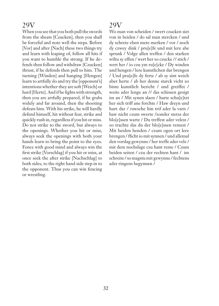When you see that you both pull the swords from the sheats [Czucken], then you shall be forceful and note well the steps. Before [Vor] and after [Nach] these two things try and learn with leaping of, follow all hits if you want to humble the strong. If he defends then follow and withdraw [Czucken] thrust, if he defends then pull to him. The turning [Winden] and hanging [Hengen] learn to artfully do and try the [opponent's] intentions whether they are soft [Weich] or hard [Herte]. And if he fights with strength, then you are artfully prepared, if he grabs widely and far around, then the shooting defeats him. With his strike, he will hardly defend himself, hit without fear, strike and quickly rush in, regardless if you hit or miss. Do not strike to the sword, but always to the openings. Whether you hit or miss, always seek the openings with both your hands learn to bring the point to the eyes. Fence with good mind and always win the first strike [Vorschlag] if you hit or miss, at once seek the after strike [Nachschlag] to both sides, to the right hand side step in to the opponent. Thus you can win fencing or wrestling.

# 29V

Wo man von scheiden / swert czucken siet von in beiden / do sal man stercken / und dy schrete eben mete merken / vor / noch dy czwey dink / pru[e]fe und mit lere abe sprunk / Volge allen treffen / den starken wiltu sy effen / wert her so czucke // stich / wert her / io czu ym ru[e]cke / Dy winden und hengen / lere kunstlichen dar brengen / Und pru[e]fe dy ferte / ab sy sint weich aber herte / ab her denne starck vicht zo bistu kunstlich bericht / und greiffet / weite ader lenge an // das schissen gesigt im an / Mit synen slaen / harte schu[e]tzt her sich triff ane forchte / Haw dreyn und hurt dar / rawsche hin trif ader la varn / haw nicht czum swerte /zonder stetzs der blo[e]ssen warte / Du treffest ader velest / zo trachte das du der blo[e]ssen remest / Mit beiden henden / czum ogen ort lere brengen / fficht io mit synnen / und allemal den vorslag gewynne / her treffe ader vele / mit dem nochslage czu hant reme / Czum beiden seiten / czu der rechten hant / im schreite / so magstu mit gewynne / fechtens ader ringens begynnen /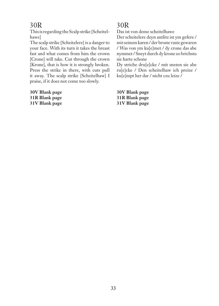This is regarding the Scalp strike [Scheitelhawe]

The scalp strike [Scheitelere] is a danger to your face. With its turn it takes the breast fast and what comes from him the crown [Crone] will take. Cut through the crown [Krone], that is how it is strongly broken. Press the strike in there, with cuts pull it away. The scalp strike [Scheitelhaw] I praise, if it does not come too slowly.

**30V Blank page 31R Blank page 31V Blank page**

# 30R

Das ist von deme scheitelhawe

Der scheitelere deyn antlitz ist ym gefere / mit seinem karen / der broste vaste gewaren / Was von ym ku[e]met / dy crone das abe nymmet / Sneyt durch dy krone zo brichstu sie harte schone

Dy striche dru[e]cke / mit sneten sie abe ru[e]cke / Den scheitelhaw ich preize / ku[e]mpt her dar / nicht czu leize /

**30V Blank page 31R Blank page 31V Blank page**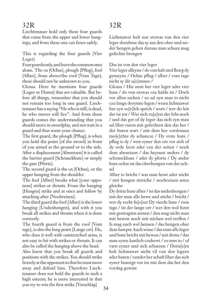Liechtenauer hold only these four guards that come from the upper and lower hangings, and from these one can fence safely.

This is regarding the four guards [Vier Leger]

Four guards only, and leave the common ones alone. The ox [Ochse], plough [Pflug], fool [Alber], from above/the roof [Vom Tage], these should not be unknown to you.

Glossa. Here he mentions four guards [Leger or Huten] that are valuable. But before all things, remember that you should not remain too long in one guard. Liechtenauer has a saying "He who is still, is dead, he who moves will live". And from these guards comes the understanding that you should move in swordplay, and not wait in a guard and thus waste your chance.

The first guard, the plough [Pflug], is when you hold the point [of the sword] in front of you aimed at the ground or to the side. After a displacement [Abesetzen] it is called the barrier guard [Schranckhute] or simply the gate [Pforte].

The second guard is the ox [Ochse], or the upper hanging from the shoulder.

The fool [Alber] breaks what [your opponent] strikes or thrusts. From the hanging [Hengen] strike and at once and follow by attacking after [Nochreizen].

The third guard the fool [Alber] is the lower hanging [Undenhengen], and with it you break all strikes and thrusts when it is done correctly.

The fourth guard is from the roof [Vom tage], is also the long point [Lange ort]. He, who does it well with outstretched arms, is not easy to hit with strikes or thrusts. It can also be called the hanging above the head.

Also know that you break all guards and positions with the strikes. You should strike bravely at the opponent so that he must move away and defend him. Therefore Liechtenauer does not hold the guards in such a high esteem; he is more interested in that you try to win the first strike [Vorschlag]

# 32R

Lichtnawer helt nur etzwas von den vier leger dorubme das sy aus den ober und under hengen gehen doraus man schure mag gefechte brengen

Das ist von den vier leger

Vier leger alleyne / do von halt und flewg dy gemeyne / Ochse pflug / alber / vom tage nicht sy dir u[e]mmer /

Glossa / Hie nent her vier leger ader vier hute / do von etzwas czu halde ist / Doch vor allen sachen / zo sal eyn man io nicht czu lange dorynne legen / wenn lichtnawer hat eyn so[e]lch sprich / wort / wer do leit der ist tot / Wer sich ru[e]ret der lebt noch / und das get of dy leger das sich eyn man sal liber ruren mit gefechten den das her / der huten wart / mit dem her vorslossen mo[e]chte dy schancze / Dy erste hute / pflug is dy / wen eyner den ort vor sich of dy erde leczt ader czu der seiten / noch dem abesetzen / das heyssen anders / dy schranckhute / ader dy pforte / Dy ander hute ochse ist das oberhengen von der achsel

Alber io bricht / was man hewt ader sticht / mit hengen streiche / nochreizen setze gleiche

Dy dritte hute alber / ist das undenhengen / mit der man alle hewe und stiche / bricht / wer dy recht fu[e]ret Dy vierde hute / vom tage / ist der lange ort / wer den wol furet mit gestragten armen / den mag nicht man mit hewen noch mit stichen wol treffen / Is mag auch wol heissen / das hengen ober dem hawpte Auch wisse / das man alle leger und hute bricht mit hewen / mit deme / daz man eyme kunlich czuhewt / zo mus io / of varn eyner und sich schutzen / Doru[e]m helt lichtnawer nicht vil von den legern ader huten / zunder her schaft liber das sich eyner besorge vor im mit dem das her den vorslag gewint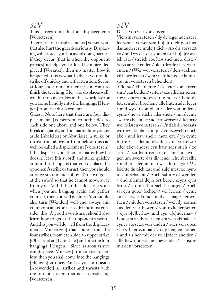This is regarding the four displacements [Vorsetczen]

There are four displacements [Vorsetczen] that also hurt the guards seriously. Displacing will protect you but avoid doing parries, if they occur [that is when the opponent parries] it helps you a lot. If you are displaced [Vorsatzt], then no matter how it happened, this is what I advice you to do; strike off quickly and with attention. Set on at four ends; remain there if you want to finish the teaching. He, who displaces well, will hurt many strikes in the swordplay for you come handily into the hangings [Hengen] from the displacements

Glossa. Note here that there are four displacements [Vorsetczen] to both sides, to each side one above and one below. They break all guards, and no matter how you set aside [Abeleitest or Abweisest] a strike or thrust from above or from below, this can well be called a displacement [Vorsetczen]. If he displaces you, then no matter how he does it, leave [his sword] and strike quickly at him. If it happens that you displace the opponent's strike or thrust, then you should at once step in and follow [Nochvolgen ] at the sword so that he cannot move away from you. And if the other does the same when you are hanging again and gather yourself, then you will get hurt. You should also turn [Wenden] well and always aim your point at his breast so that he must consider this. A good swordsman should also learn how to get at the opponent's sword. And this you will do well from the displacements [Vorsetczen] that comes from the four strikes, from each side an upper strike [Ober] and an [Unterhaw] and into the four hangings [Hengen]. Since as soon as you can displace [Vorsetzt] from above or below, then you shall come into the hangings [Hengen] at once. And as you turn aside [Abewendet] all strikes and thrusts with the foremost edge, that is also displacing [Vorsetczen].

# 32V

Das it von vier vorsetczen

Vier sint vorsetczen / dy dy leger auch sere letczen / Vorsetczen hu[e]t dich geschiet das auch sere mu[e]t dich / Ab dir vorsatzt ist / und wy das dar komen ist / ho[e]re was ich rate / streich abe haw snel mete drate / Setzt an vier enden / bleib droffe / lere wiltu enden / (Wer wol vorsetczit / ders vechten vil hewe letczit / wen yn dy hengen / kumpstu mit vorsetczen behenden)

 Glossa / Hie merke / das vier vorsetczen sint / czu beiden / seiten / czu itlicher seiten / eyn obers und eyns u[e]nders / Und dy letczen ader brechen / alle huten ader leger / und wy du von oben / ader von unden / eyme / hewe stiche ader snete / mit deyme swerte abeleitest / ader abweisest / das mag wol heissen vorsetczen / Und ab dir vorsatz wirt wy das dar kumpt / zo czewch rislich abe / und haw snelle mete czu / yn eyme hurte / Ist denne das du eyme vorsetzt / ader abewendest eyn haw ader stich / zo saltu / czu hant czu treten und nochvolgen am swerte das dir iener icht abeczihe / und salt denne tuen was du magst / Wy leichte du dich last und zu[e]mest zo nymmestu schaden / Auch saltu wol wenden / und allemal deyn ort keren keyns eyns brust / zo mus her sich besorgen / Auch sal eyn guter fechter / vol lernen / eyme an das swert komen und das mag / her wol tuen / mit den vorsetczen / wen dy komen aus den vier hewen / von itzlicher seiten / eyn o[e]berhaw und eyn u[e]nderhaw / Und gen yn dy vier hengen wen als bald als eyner vorsetzt von unden / ader von oben / so sal her czu hant yn dy hengen komen / und als her mit der vo[e]rdern sneiden / alle hew und stiche abewendet / als ist es mit den vorsetczen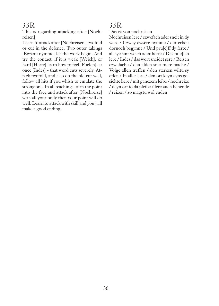This is regarding attacking after [Nochreisen]

Learn to attack after [Nochreisen ] twofold or cut in the defence. Two outer takings [Ewsere nymme] let the work begin. And try the contact, if it is weak [Weich], or hard [Herte] learn how to feel [Fuelen], at once [Indes] - that word cuts severely. Attack twofold, and also do the old cut well, follow all hits if you whish to emulate the strong one. In all teachings, turn the point into the face and attack after [Nochreize] with all your body then your point will do well. Learn to attack with skill and you will make a good ending.

#### 33R

Das ist von nochreisen

Nochreisen lere / czwefach ader sneit in dy were / Czwey ewsere nymme / der erbeit dornoch begynne / Und pru[e]ff dy ferte / ab sye sint weich ader herte / Das fu[e]len lere / Indes / das wort sneidet sere / Reisen czwefache / den alden snet mete mache / Volge allen treffen / den starken wiltu sy effen / In aller lere / den ort keyn eyns gesichte kere / mit ganczem leibe / nochreize / deyn ort io da pleibe / lere auch behende / reizen / zo magstu wol enden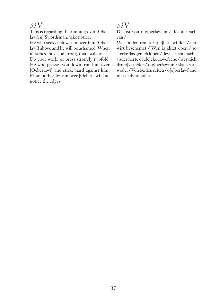This is regarding the running over [Oberlawfen] Swordsman, take notice.

He who seeks below, run over him [Oberlawf] above and he will be ashamed. When it flashes above, be strong, that I will praise. Do your work, or press strongly twofold. He who presses you down, run him over [Oeberlawf] and strike hard against him. From both sides run over [Oeberlawf] and notice the edges.

# 33V

Das ist von o[e]berlawfen / ffechter sich czu /

Wer unden remet / o[e]berlawf den / der wirt beschemet / Wen is klitzt oben / so sterke das ger ich loben / deyn erbeit mache / ader herte dru[e]cke czwefache / wer dich dru[e]kt neder / o[e]berlawf in / slach sere weder / Von beiden seiten / o[e]berlawf und merke dy sneiden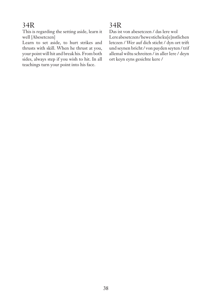This is regarding the setting aside, learn it well [Abesetczen]

Learn to set aside, to hurt strikes and thrusts with skill. When he thrust at you, your point will hit and break his. From both sides, always step if you wish to hit. In all teachings turn your point into his face.

# 34R

Das ist von abesetczen / das lere wol Lere abesetczen / hewe stiche ku[e]nstlichen letczen / Wer auf dich sticht / dyn ort trift und seynen bricht / von payden seyten / trif allemal wiltu schreiten / in aller lere / deyn ort keyn eyns gesichte kere /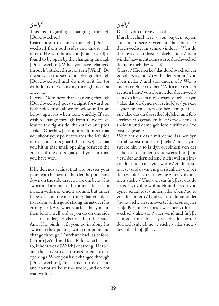This is regarding changing through [Durchwechsel]

Learn how to change through [Durchwechsel] from both sides and thrust with intent. He who binds you [your sword] is found to be open by the changing through [Durchwechsel]. When you have "changed through", strike, thrust or turn [Wind]. Do not strike at the sword but change through [Durchwechsel] and do not wait for (or with doing the changing through, do it at once) it.

Glossa. Note here that changing through [Durchwechsel] goes straight forward on both sides, from above to below and from below upwards when done quickly. If you wish to change through from above to below on the right side, then strike an upper strike [Oberhaw] straight at him so that you shoot your point towards the left side in over his cross guard [Gehilcze], so that you hit in that small opening between the edge and the cross guard. If you hit then you have won.

If he defends against that and presses your point with his sword, then let the point sink down on the side that you are on, below his sword and around to the other side, do not make a wide movement around, but under his sword and the next thing that you do is to rush in with a good strong thrust over his cross guard. And when you feel that you hit, then follow well and as you do on one side over or under, do also on the other side. And if he binds with you, go in along his sword to the openings with your point and change through [Durchwechsel] as before. Or turn [Wind] and feel [Fule] what he is up to, if he is weak [Weich] or strong [Herte], and then try strikes, thrusts or cuts to his openings. When you have changed through [Durchwechsel], then strike, thrust or cut, and do not strike at the sword, and do not wait with it.

#### 34V

Das ist vom durchwechsel

Durchwechsel lere / von payden seyten stich mete sere / Wer auf dich bindet / durchwechsel in schire vindet / (Wen du durchwechselt hast / slach stich / ader winde/ haw nicht zum swerte durchwechsel do mete nicht laz warte)

Glossa / Hie merke / das durchwechsel gar gerade czugehet / czu beiden seiten / von oben neder / und von unden of / Wer is anders rischlich treibet / Wiltu nu / czu der rechten hant / von oben neder durchwechseln / zo haw eyn o[e]berhaw gleich czu ym / alzo das du dynen ort schu[e]st / ym czu seyner linken seiten o[e]ber dem gehilcze yn / alzo das du das selbe lo[e]chel und fensterleyn / io gerade treffest / czwischen der sneiden und deme gehilcze / triftz du / zo hastu / gesigt /

Wert her dir das / mit deme das her dyn ort abeweist und / dru[e]ckt / mit seyme swerte hin / so la dyn ort sinken von der selben seiten under seyme swerte heru[e]m / czu der andern seiten / nicht weit u[e]m / zonder unden an sym swerte / zo du neste magst / und da var ym gar rischlich / o[e]ber dem gehilcze yn / mit eyme guten volkommen stiche / Und wen du fu[e]lest das du trifts / zo volge wol noch und als du von eyner seiten tust / unden ader oben / zo tu von der andern / Und wer mit dir anbindet / zo rawsche an sym swerte hin keyn seyner blo[e]ße / mit dym orte / wert her zo durchwechsel / also vor / ader wind und fu[e]le sein geferte / ab is sey weich ader herte / dornoch su[e]ch hewe stiche / ader snete / keyn den blo[e]ßen /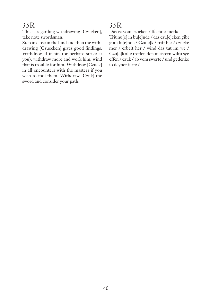This is regarding withdrawing [Czucken], take note swordsman.

Step in close in the bind and then the withdrawing [Czuecken] gives good findings. Withdraw, if it hits (or perhaps strike at you), withdraw more and work him, wind that is trouble for him. Withdraw [Czuek] in all encounters with the masters if you wish to fool them. Withdraw [Czuk] the sword and consider your path.

# 35R

Das ist vom czucken / ffechter merke Trit nu[e] in bu[e]nde / das czu[e]cken gibt gute fu[e]nde / Czu[e]k / trift her / czucke mer / erbeit her / wind das tut im we / Czu[e]k alle treffen den meistern wiltu sye effen / czuk / ab vom swerte / und gedenke io deyner ferte /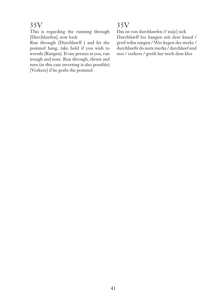This is regarding the running through [Durchlawfen], now look

Run through [Durchlawff ] and let the pommel hang, take hold if you wish to wrestle [Rangen]. If one presses at you, run trough and note. Run through, thrust and turn (in this case inverting is also possible) [Vorkere] if he grabs the pommel.

# 35V

Das ist von durchlawfen // nu[e] sich Durchlawff loz hangen mit dem knauf / greif wiltu rangen / Wer kegen der sterke / durchlawfir do mete merke / durchlawf und stos / vorkere / greift her noch dem klos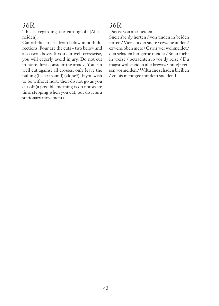This is regarding the cutting off [Abesneiden].

Cut off the attacks from below in both directions. Four are the cuts – two below and also two above. If you cut well crosswise, you will eagerly avoid injury. Do not cut in haste, first consider the attack. You can well cut against all crosses; only leave the pulling (back/around) (alone?). If you wish to be without hurt, then do not go as you cut off (a possible meaning is do not waste time stepping when you cut, but do it as a stationary movement).

# 36R

Das ist von abesneiden

Sneit abe dy herten / von unden in beiden ferten / Vier sint der snete / czwene unden / czwene oben mete / Czwir wer wol sneidet / den schaden her gerne meidet / Sneit nicht in vreize / betrachten io vor dy reize / Du magst wol sneiden alle krewtz / nu[e]r reisen vormeiden / Wiltu ane schaden bleiben / zo bis nicht gee mit dem sneiden I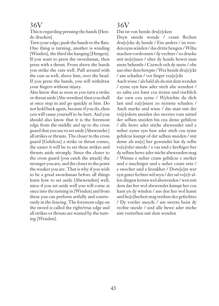This is regarding pressing the hands [Hende drucken]

Turn your edge; push the hands to the flats. One thing is turning, another is winding [Winden], the third the hanging [Hengen]. If you want to press the swordsman, then press with a thrust. From above the hands you strike the cuts well. Pull around with the cuts as well, above him, over the head. If you press the hands, you will withdraw your fingers without injury.

Also know that as soon as you turn a strike or thrust aside [Abe wendest] then you shall at once step in and go quickly at him. Do not hold back again, because if you do, then you will cause yourself to be hurt. And you should also know that it is the foremost edge from the middle and up to the cross guard that you use to set aside [Abewendet ] all strikes or thrusts. The closer to the cross guard [Gehilcze] a strike or thrust comes, the easier it will be to set these strikes and thrusts aside strongly. Since the closer to the cross guard [you catch the attack] the stronger you are, and the closer to the point the weaker you are. That is why if you wish to be a good swordsman before all things learn how to set aside [Abewenden] well, since if you set aside well you will come at once into the turning in [Winden] and from these you can perform artfully and courteously in the fencing. The foremost edge on the sword is called the right/true edge and all strikes or thrusts are wasted by the turning [Wenden].

### 36V

Das ist von hende dru[e]cken

Deyn sneide wende / czum flechen dru[e]cke dy hende / Ein anders / ist wenden eyns winden / das dritte hengen / Wiltu machen vordrossen / dy vechter / zo drucke mit sto[e]ssen / ober dy hende hewet man snete behende / Czewch och dy snete / obe aus ober dem hewpte / Wer hende dru[e]ckt / ane schaden / vor finger czu[e]ckt

Auch wisse / als bald als du mit dem wenden / eyme eyn haw ader stich abe wendest / zo saltu czu hant czu treten und rischlich dar varn czu eyme / Wyleichte du dich last und zu[e]mest zo nymstu schaden / Auch merke und wisse / das man mit der vo[e]rdern sneiden des swertes vom mittel der selben sneiden bis czu deme gehilcze / alle hewe ader stiche abewendet und e neher eyme eyn haw ader stich czu syme gehilcze kumpt of der selben sneiden / mit deme als nu[e] her gewendet hat dy selbe vo[e]rder sneide / e vas und e kreftiger her dy selben hewe ader stiche abewenden mag / Wenne e neher czum gehilcze e sterker und e mechtiger und e neher czum orte / e swecher und e krenkher / Doru[e]m wer eyn guter fechter wil seyn / der sal vo[e]r allen dingen lernen wol abewenden / wen mit dem das her wol abewendet kumpt her czu hant yn dy winden / aus den her wol kunst und ho[e]bscheit mag treiben dez gefechtez / Dy vorder sneyde / am swerte heist dy rechte sneide / und alle hewe ader stiche sint vorterben mit dem wenden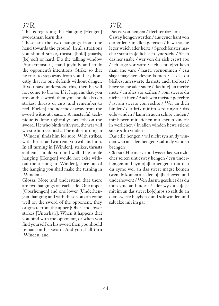This is regarding the Hanging [Hengen] swordsman learn this.

These are the two hangings from one hand towards the ground. In all situations you should strike, thrust, [hold] guards, [be] soft or hard. Do the talking window [Sprechfenster], stand joyfully and study the opponent's intentions. Strike so that he tries to step away from you, I say honestly that no one defends without danger. If you have understood this, then he will not come to blows. If it happens that you are on the sword, then you should also do strikes, thrusts or cuts, and remember to feel [Fuelen] and not move away from the sword without reason. A masterful technique is done rightfully/correctly on the sword. He who binds with you, the war will wrestle him seriously. The noble turning in [Winden] finds him for sure. With strikes, with thrusts and with cuts you will find him. In all turning in [Winden], strikes, thrusts and cuts should you find well. The noble hanging [Hengen] would not exist without the turning in [Winden], since out of the hanging you shall make the turning in [Winden].

Glossa. Note and understand that there are two hangings on each side. One upper [Oberhengen] and one lower [Underhengen] hanging and with these you can come well on the sword of the opponent, they originate from the upper [Ober] and lower strikes [Unterhaw]. When it happens that you bind with the opponent, or when you find yourself on his sword then you should remain on his sword. And you shall turn [Winden] and

#### 37R

Das ist von hengen / ffechter daz lere Czwey hengen werden / aus eyner hant von der erden / in allen geferten / hewe stiche leger weich ader herte / Sprechfenster mache / stant fro[e]lich sich syne sache / Slach das her snabe / wer von dir zich czewt abe / ich sage vor ware / sich schu[e]tzt keyn man ane vare / hastu vornommen / czu slage mag her kleyne komen / Is das du bleibest am swerte da mete auch treibest / hewe stiche ader snete / das fu[e]len merke mete / an alles vor czihen / vom swerte du nicht salt flien / Auch wen meister gefechte / ist am swerte von rechte / Wer an dich bindet / der krik mit im sere ringet / das edle winden / kann in auch schire vinden / mit hewen mit stichen mit sneten vindest in werlichen / In allen winden hewe stiche snete saltu vinden

Das edle hengen / wil nicht syn an dy winden wen aus den hengen / saltu dy winden brengen

Glossa / Hie merke und wisse das czu itzlicher seiten sint czwey hengen / eyn underhengen und eyn o[e]berhengen / mit den du eyme wol an das swert magst komen (wen dy komen aus den o[e]berhewen und underhewen) / Wen das nu geschiet das du mit eyme an bindest / ader wy du su[e]st mit im an das swert ko[e]mps zo salt du an dem swerte bleyben / und salt winden und salt alzo mit im gar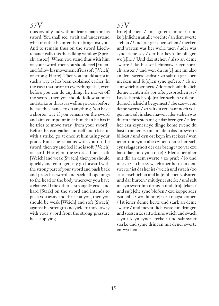thus joyfully and without fear remain on his sword. You shall see, await and understand what it is that he intends to do against you. And to remain thus on the sword Liechtenauer calls this the talking window [Sprechvanster]. When you stand thus with him on your sword, then you should feel [Fulen] and follow his movement if it is soft [Weich] or strong [Herte]. Then you should adapt in such a way as has been explained earlier. In the case that prior to everything else, even before you can do anything, he moves off the sword, then you should follow at once and strike or thrust as well as you can before he has the chance to do anything. You have a shorter way if you remain on the sword and aim your point in at him than he has if he tries to move away [from your sword]. Before he can gather himself and close in with a strike, go at once at him using your point. But if he remains with you on the sword, then try and feel if he is soft [Weich] or hard [Herte] on the sword. If he is soft [Weich] and weak [Swach], then you should quickly and courageously go forward with the strong part of your sword and push back and press his sword and seek all openings to the head or the body wherever you have a chance. If the other is strong [Herte] and hard [Stark] on the sword and intends to push you away and thrust at you, then you should be weak [Weich] and soft [Swach] against his strength and yield to move away with your sword from the strong pressure he is applying

# 37V

fro[e]hlichen / mit gutem mute / und ku[e]nlichen an alle vorchte / an dem swerte stehen / Und salt gar eben sehen / merken und warten was her wolle tuen / ader was syne sache sey / der her keyn dir pflegen wo[e]lle / Und daz stehen / alzo an deme swerte / das heisset lichtenawer eyn sprechvanster / und wen du nu[e] mit im alzo an dem swerte stehst / zo salt du gar eben merken und fu[e]len syne geferte / ab sie sint weich aber herte / dornoch salt du dich denne richten als vor ofte gesprochen ist / Ist das her sich vo[e]r allen sachen / e denne du noch ichsicht begynnest / abe czewt von deme swerte / zo salt du czu hant noch volgen und salt in slaen hawen ader stehen was du am schiresten magst dar brengen / e den her czu keynerleye dinge kome (wene du hast io neher czu im mit dem das am swerte blibest / und dyn ort keyn im reckest / wen iener not syme abe czihen den e her sich eyns slags erholt der dar brengt / zo var czu hant dar mit dyme orte) / Bleibt her aber mit dir an dem swerte / zo prufe / io und merke / ab her sy weich aber herte an dem swerte / ist das her ist / weich und swach / zo saltu rischlichen und ku[e]nlichen volvaren und dar hurten / mit dyner sterke / und salt im syn swert hin dringen und dru[e]cken / und su[e]che syne bloßen / czu koppe ader czu leibe / wo du nu[e]r czu magst komen / Ist iener denne herte und stark an deme swerte / und meynt dich vaste hin dringen und stossen zo saltu denne weich und swach seyn / keyn syner sterke / und salt syner sterke und syme dringen mit dyner swerte entwychen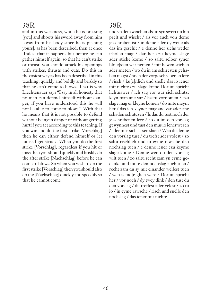and in this weakness, while he is pressing [you] and shoots his sword away from him [away from his body since he is pushing yours], as has been described, then at once [Indes] that it happens but before he can gather himself again, so that he can't strike or thrust, you should attack his openings with strikes, thrusts and cuts. Do this in the easiest way as has been described in this teaching, quickly and boldly and briskly so that he can't come to blows. That is why Liechtenauer says "I say in all honesty that no man can defend himself without danger, if you have understood this he will not be able to come to blows". With that he means that it is not possible to defend without being in danger or without getting hurt if you act according to this teaching. If you win and do the first strike [Vorschlag] then he can either defend himself or let himself get struck. When you do the first strike [Vorschlag], regardless if you hit or miss then you should quickly and briskly do the after strike [Nachschlag] before he can come to blows. So when you wish to do the first strike [Vorschlag] then you should also do the [Nachschlag] quickly and speedily so that he cannot come

# 38R

und yn dem weichen als im syn swert im hin prelt und wischt / als vor auch von deme geschreben ist / in deme ader dy weile als das im geschit / e denne her sichs weder irholen mag / dar her czu keyme slage ader stiche kome / zo saltu selber syner blo[e]ssen war nemen / mit hewen stichen ader sneten / wo du in am schiresten gehaben magst / noch der vorgeschrebenen lere / risch / ku[e]nlich und snelle das io iener mit nichte czu slage kome Dorum spricht lichtnawer / ich sag vor war sich schutzt keyn man ane var / hastu vornomen / czu slage mag er kleyne komen / do mite meynt her / das ich keyner mag ane var ader ane schaden schutczen / Is das du tust noch der geschrebenen lere / ab du im den vorslag gewynnest und tust den mus io iener weren / ader mus sich lassen slaen / Wen du denne den vorslag tust / du trefst ader volest / zo saltu rischlich und in eyme rawsche den nochslag tuen / e denne iener czu keyme slage kome / Denne wen du den vorslag wilt tuen / zo saltu recht zam yn eyme gedanke und mute den nochslag auch tuen / recht zam du sy mit einander wellest tuen / wen is mo[e]glich were / Dorum spricht her / vor noch / dy twey dink / den tust du den vorslag / du treffest ader velest / zo tu io / in eyme rawsche / risch und snelle den nochslag / das iener mit nichte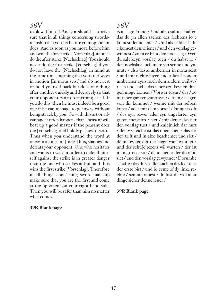to blows himself. And you should also make sure that in all things concerning swordsmanship that you act before your opponent does. And as soon as you move before him and win the first strike [Vorschlag], at once do the after strike [Nachschlag]. You should never do the first strike [Vorschlag] if you do not have the [Nachschlag] in mind at the same time, meaning that you are always in motion [In motu seist]and do not rest or hold yourself back but does one thing after another quickly and decisively so that your opponent can't do anything at all. If you do this, then he must indeed be a good one if he can manage to get away without being struck by you. So with this art or advantage it often happens that a peasant will beat up a good master if the peasant does the [Vorschlag] and boldly pushes forward. Thus when you understand the word at once/in an instant [Indes] hits, shames and defeats your opponent. One who hesitates and wants to wait in order to defend himself against the strike is in greater danger than the one who strikes at him and thus wins the first strike [Vorschlag]. Therefore in all things concerning swordsmanship make sure that you are the first and come at the opponent on your right hand side. Then you will be safer than him no matter what comes.

#### **39R Blank page**

#### 38V

czu slage kome / Und alzo saltu schaffen das du yn allen sachen des fechtens io e komest denne iener / Und als balde als du e komest denne iener / und den vorslag gewinnest / zo tu cz hant den nochslag / Wen du salt keyn vorslag tuen / du habst io / den nochslag auch mete ym synne und ym mute / also dastu umbermer in motu seist / und mit nichte feyerst ader last / zonder umbermer eyns noch dem andern treibst / risch und snelle das iener czu keynen dingen moge komen / Vorwar tustu / das / zo mus her gar eyn guter syn / der ungeslagen von dir kummet / wenne mit der selben kunst / ader mit dem vorteil / kumpt is oft / das eyn pawer ader eyn ungelarter eyn guten meistern / slet / mit deme das her den vorslag tuet / und ku[e]nlich dar hurt / den wy leiche ist das obersehen / das in/ deß trift und in alzo beschemet und slet / denne eyner der der slege war nymmet / und des schu[e]tczens wil warten / der ist io in grosser var / denne iener der do of in slet / und den vorslag gewynnet / Dorumbe schaffe / das du yn allen sachen des fechtens der erste bist / und io eyme of dy linke rechte / seiten komest / do bist du wol aller dinge sicher denne iener /

#### **39R Blank page**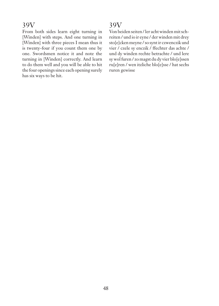From both sides learn eight turning in [Winden] with steps. And one turning in [Winden] with three pieces I mean thus it is twenty-four if you count them one by one. Swordsmen notice it and note the turning in [Winden] correctly. And learn to do them well and you will be able to hit the four openings since each opening surely has six ways to be hit.

# 39V

Von beiden seiten / ler acht winden mit schreiten / und io ir eyne / der winden mit drey sto[e]cken meyne / so synt ir czwenczik und vier / czele sy enczik / ffechter das achte / und dy winden rechte betrachte / und lere sy wol furen / zo magst du dy vier blo[e]ssen ru[e]ren / wen itzliche blo[e]sse / hat sechs ruren gewisse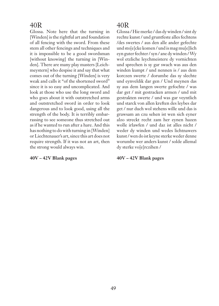Glossa. Note here that the turning in [Winden] is the rightful art and foundation of all fencing with the sword. From these stem all other fencings and techniques and it is impossible to be a good swordsman [without knowing] the turning in [Winden]. There are many play masters [Leichmeystern] who despise it and say that what comes out of the turning [Winden] is very weak and calls it "of the shortened sword" since it is so easy and uncomplicated. And look at those who use the long sword and who goes about it with outstretched arms and outstretched sword in order to look dangerous and to look good, using all the strength of the body. It is terribly embarrassing to see someone thus stretched out as if he wanted to run after a hare. And this has nothing to do with turning in [Winden] or Liechtenauer's art, since this art does not require strength. If it was not an art, then the strong would always win.

#### **40V – 42V Blank pages**

#### 40R

Glossa / Hie merke / das dy winden / sint dy rechte kunst / und gruntfeste alles fechtens /des swertes / aus den alle ander gefechte und sto[e]cke komen / und is mag mu[e]lich eyn guter fechter / syn / ane dy winden / Wy wol etzliche leychmeistere dy vornichten und sprechen is sy gar swach was aus den winden kumpt / und nennen is / aus dem korczen swerte / dorumbe das sy slechte und eynveldik dar gen / Und meynen das sy aus dem langen swerte gefochte / was dar get / mit gestracken armen / und mit gestrakten swerte / und was gar veyntlich und starck von allen kreften des leybes dar get / nur duch wol stehens wille und das is grawsam an czu sehen ist wen sich eyner alzo streckt recht zam her eynen hazen wolle irlawfen / und daz ist alles nicht / weder dy winden und wedes lichtnawers kunst / wen do ist keyne sterke weder denne worumbe wer anders kunst / solde allemal dy sterke vo[e]rczihen /

#### **40V – 42V Blank pages**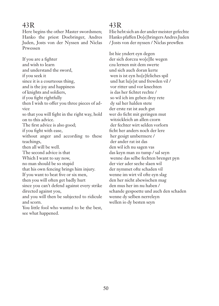Here begins the other Master swordsmen; Hanko the priest Doebringer, Andres Juden, Josts von der Nyssen and Niclas Prwessen

If you are a fighter and wish to learn and understand the sword, if you seek it since it is a courteous thing, and is the joy and happiness of knights and soldiers, if you fight rightfully then I wish to offer you three pieces of advice so that you will fight in the right way, hold on to this advice. The first advice is also good; if you fight with ease, without anger and according to these teachings, then all will be well. The second advice is that Which I want to say now, no man should be so stupid that his own fencing brings him injury. If you want to beat five or six men, then you will often get badly hurt since you can't defend against every strike directed against you, and you will then be subjected to ridicule and scorn. You little fool who wanted to be the best, see what happened.

# 43R

Hie hebt sich an der ander meister gefechte Hanko pfaffen Do[e]bringers Andres Juden / Josts von der nyssen / Niclas prewßen

Ist hie yndert eyn degen der sich dorczu wo[e]lle wegen czu lernen mit dem swerte und sich auch doran kerte wen is ist eyn ho[e]feliches spil und hat lu[e]st und frewden vil / vor ritter und vor knechten is das her fichtet rechte / so wil ich im geben drey rete dy sal her halden stete der erste rat ist auch gut wer do ficht mit geringen mut witzickleich an allen czorn der fechter wirt selden vorlorn ficht her anders noch der lere her gesigt umbermere / der ander rat ist das den wil ich nu sagen vas das keyn man zo tump / sal seyn wenne das selbe fechten brenget pyn der vier ader seche slaen wil der nymmet ofte schaden vil wenne im wirt vil ofte eyn slag den her nicht abewischen mag den mus her im nu haben / schande gespoette und auch den schaden wenne dy selben nerreleyn wellen io dy besten seyn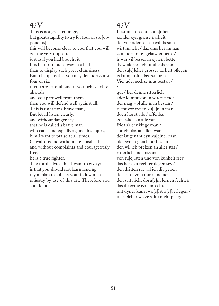This is not great courage,

but great stupidity to try for four or six [opponents];

this will become clear to you that you will get the very opposite

just as if you had bought it.

It is better to hide away in a bed

than to display such great clumsiness.

But it happens that you may defend against four or six,

if you are careful, and if you behave chivalrously

and you part well from them

then you will defend well against all.

This is right for a brave man,

But let all listen clearly,

and without danger say,

that he is called a brave man

who can stand equally against his injury,

him I want to praise at all times.

Chivalrous and without any misdeeds

and without complaints and courageously free,

he is a true fighter.

The third advice that I want to give you is that you should not learn fencing if you plan to subject your fellow men unjustly by use of this art. Therefore you should not

# 43V

Is ist nicht rechte ku[e]nheit zonder eyn grosse narheit der vier ader sechse will bestan wirt im icht / daz ums her im han zam hers nu[e] gekawfet hette / is wer vil besser in eynem bette dy weile gesucht und gebegen den su[e]lcher grosser torheit pflegen is kumpt ofte das eyn man Vier ader sechze mus bestan / /

gut / her denne ritterlich ader kumpt von in witczicleich der mag wol alle man bestan / recht vor eynen ku[e]nen man doch horet alle / offenbar genczlich an alle var fridank der kluge man / spricht das an allen wan der ist genant eyn ku[e]ner man der synen gleich tar bestan den wil ich preizen an aller stat / ritterlich ane missetat von tu[e]rsten und von kunheit frey das her eyn rechter degen sey / den dritten rat wil ich dir geben den saltu vom mir of nemen den salt nicht doru[e]m lernen fechten das du eyme czu unrechte mit dyner kunst wo[e]lst o[e]berlegen / in suelcher weize saltu nicht pflagen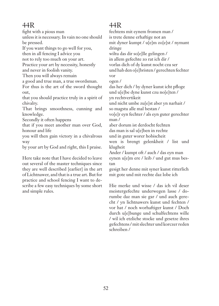fight with a pious man unless it is necessary. In vain no one should be pressed.

If you want things to go well for you, then in all fencing I advice you

not to rely too much on your art.

Practice your art by necessity, honestly and never in foolish vanity.

Then you will always remain

a good and true man, a true swordsman. For thus is the art of the sword thought out,

that you should practice truly in a spirit of chivalry.

That brings smoothness, cunning and knowledge.

Secondly it often happens

that if you meet another man over God, honour and life

you will then gain victory in a chivalrous way

by your art by God and right, this I praise.

Here take note that I have decided to leave out several of the master techniques since they are well described [earlier] in the art of Lichtnawer, and that is a true art. But for practice and school fencing I want to describe a few easy techniques by some short and simple rules.

# 44R

fechtens mit eynem fromen man / is trete denne erhaftige not an mit dyner kumpt / u[e]m zo[e]st / nymant dringe wiltu das dir so[e]lle gelingen / in allem gefechte zo rat ich dir / vorlas dich of dy kunst nocht czu ser und hab den o[e]bristen / gerechten fechter vor ogen / das her dich / by dyner kunst icht pfloge und u[e]be dyne kunst czu no[e]ten / yn rechtvertikeit und nicht umbe zu[e]st aber yn narhait / so magstu alle mal bestan / vo[e]r eyn fechter / als eyn guter gerechter man / aber dorum ist derdocht fechten das man is sal u[e]ben in rechte und in guter worer hobischeit wen is brengt gelenkheit / list und klugheit Ander / kumpt oft / auch / das eyn man

eynen u[e]m ere / leib / und gut mus bestan

gesigt her denne mit syner kunst ritterlich mit gote und mit rechte daz lobe ich

Hie merke und wisse / das ich vil deser meistergefechte underwegen lasse / dorumbe daz man sie gar / und auch gerecht / yn lichtnawers kunst und fechten / vor hat / noch worhaftiger kunst / Doch durch u[e]bunge und schulfechtens wille / wil ich etzliche stocke und gesetze ihres gefechtens / mit slechter und korczer reden schreiben /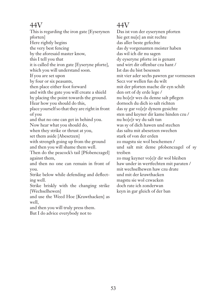This is regarding the iron gate [Eyserynen pforten] Here rightly begins the very best fencing by the aforesaid master know, this I tell you that it is called the iron gate [Eyseryne pforte], which you will understand soon. If you are set upon by four or six peasants, then place either foot forward and with the gate you will create a shield by placing the point towards the ground. Hear how you should do this, place yourself so that they are right in front of you and that no one can get in behind you. Now hear what you should do, when they strike or thrust at you, set them aside [Abesetzen] with strength going up from the ground and then you will shame them well. Then do the peacock's tail [Pfobenczagel] against them, and then no one can remain in front of you. Strike below while defending and deflecting well. Strike briskly with the changing strike [Wechselhewen] and use the Weed Hoe [Krawthacken] as well, and then you will truly press them. But I do advice everybody not to

# 44V

Das ist von der eyserynen pforten hie get nu[e] an mit rechte das aller beste gefechte das dy vorgenanten meister haben das wil ich dir nu sagen dy eyseryne pforte ist is genant und wirt dir offenbar czu hant / Ist das du bist besessen mit vier ader sechs pawren gar vormessen Secz vor wellen fus du wilt mit der pforten mache dir eyn schilt den ort of dy erde lege / nu ho[e]r wes du denne salt pflegen dornoch du dich io salt richten das sy gar vo[e]r dynem gesichte sten und keyner dir kame hinden czu / nu ho[e]r wy du salt tun was sy of dich hawen und stechen das saltu mit abesetzen swechen stark of von der erden zo magstu sie wol beschemen / und salt mit deme pfobenczagel of sy treiben zo mag keyner vo[e]r dir wol bleiben haw under in wertfechten mit paraten / mit wechselhewen haw czu drate und mit der krawthacken magstu sie wol czwacken doch rate ich zonderwan keyn in gar gleich of der ban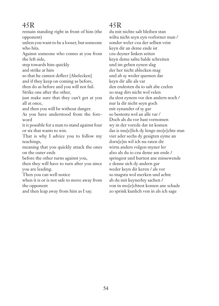remain standing right in front of him (the opponent)

unless you want to be a looser, but someone who hits.

Against someone who comes at you from the left side,

step towards him quickly

and strike at him

so that he cannot deflect [Abelecken] and if they keep on coming as before, then do as before and you will not fail.

Strike one after the other,

just make sure that they can't get at you all at once,

and then you will be without danger.

As you have understood from the foreword

it is possible for a man to stand against four or six that wants to win.

That is why I advice you to follow my teachings,

meaning that you quickly attack the ones on the outer ends

before the other turns against you,

then they will have to turn after you since you are leading.

Then you can well notice

when it is or is not safe to move away from the opponent

and then leap away from him as I say.

# 45R

du mit nichte salt bleiben stan wiltu nicht seyn eyn vorlorner man / sonder weler czu der selben vrist keyn dir an deme ende ist czu deyner linken seiten keyn deme saltu balde schreiten und im geben eynen slag der her nicht ablecken mag und ab sy weder quemen dar keyn dir alle als var den endesten du io salt abe czelen zo mag dirs nicht wol velen du slest eynem vor den andern noch / nur la dir nicht seyn goch mit eynander of sy gar so bestestu wol an alle var / Doch als du vor hast vornomen wy in der vorede dar ist komen das is mu[e]lich dy lenge mo[e]chte stan vier ader sechs dy gesigten eyme an doru[e]m wil ich nu raten dir wirtu anders volgen myner ler alzo als du io czu deme am ende / springest und hurtest ane missewende e denne sich dy andern gar weder keyn dir keren / als vor so magstu wol merken und achte ab du mit keynerley sachen / von in mo[e]chtest komen ane schade zo sprink kunlich von in als ich sage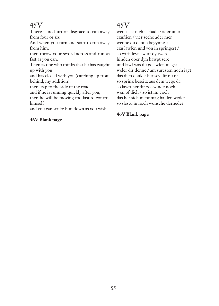There is no hurt or disgrace to run away from four or six.

And when you turn and start to run away from him,

then throw your sword across and run as fast as you can.

Then as one who thinks that he has caught up with you

and has closed with you (catching up from behind, my addition),

then leap to the side of the road

and if he is running quickly after you,

then he will be moving too fast to control himself

and you can strike him down as you wish.

#### **46V Blank page**

# 45V

wen is ist nicht schade / ader uner czuflien / vier seche ader mer wenne du denne begynnest czu lawfen und von in springest / so wirf deyn swert dy twere hinden ober dyn hawpt sere und lawf was du gelawfen magst weler dir denne / am suresten noch iagt das dich denket her sey dir nu na so sprink beseitz aus dem wege da so lawft her dir zo swinde noch wen of dich / zo ist im goch das her sich nicht mag halden weder so slestu in noch wonsche derneder

#### **46V Blank page**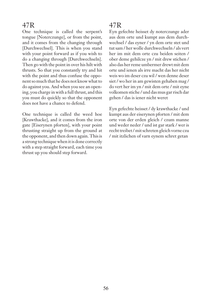One technique is called the serpent's tongue [Noterczunge], or from the point, and it comes from the changing through [Durchwechsel]. This is when you stand with your point forward as if you wish to do a changing through [Durchwechseln]. Then go with the point in over his hilt with thrusts. So that you constantly try and hit with the point and thus confuse the opponent so much that he does not know what to do against you. And when you see an opening, you charge in with a full thrust, and this you must do quickly so that the opponent does not have a chance to defend.

One technique is called the weed hoe [Krawthacke], and it comes from the iron gate [Eiserynen pforten], with your point thrusting straight up from the ground at the opponent, and then down again. This is a strong technique when it is done correctly with a step straight forward, each time you thrust up you should step forward.

# 47R

Eyn gefechte heisset dy noterczunge ader aus dem orte und kumpt aus dem durchwechsel / das eyner / yn dem orte stet und tut sam / her wolle durchwechseln / als vert her im mit dem orte czu beiden seiten / ober deme gehilcze yn / mit drew stichen / also das her reme umbermer drewt mit dem orte und ienen als irre macht das her nicht weis wo im deser czu wil / wen denne deser siet / wo her in am gewisten gehaben mag / do vert her im yn / mit dem orte / mit eyne volkomen stiche / und das mus gar risch dar gehen / das is iener nicht weret

Eyn gefechte heisset / dy krawthacke / und kumpt aus der eiserynen pforten / mit dem orte von der erden gleich / czum manne und weder neder / und ist gar stark / wer is recht treibet / mit schreten gleich vorne czu / mit itzlichen of varn eynem schret getan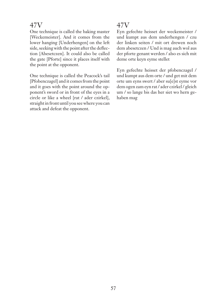One technique is called the baking master [Weckemeister]. And it comes from the lower hanging [Underhengen] on the left side, seeking with the point after the deflection [Abesetczen]. It could also be called the gate [Pforte] since it places itself with the point at the opponent.

One technique is called the Peacock's tail [Pfobenczagel] and it comes from the point and it goes with the point around the opponent's sword or in front of the eyes in a circle or like a wheel [rat / ader czirkel], straight in front until you see where you can attack and defeat the opponent.

# 47V

Eyn gefechte heisset der weckemeister / und kumpt aus dem underhengen / czu der linken seiten / mit ort drewen noch dem abesetczen / Und is mag auch wol aus der pforte genant werden / also es sich mit deme orte keyn eyme stellet

Eyn gefechte heisset der pfobenczagel / und kumpt aus dem orte / und get mit dem orte um eyns swert / aber su[e]st eyme vor dem ogen zam eyn rat / ader czirkel / gleich um / so lange bis das her siet wo hern gehaben mag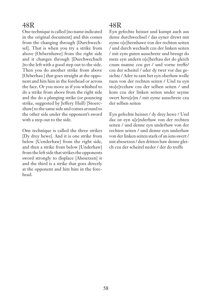One technique is called [no name indicated in the original documentl and this comes from the changing through [Durchwechsel]. That is when you try a strike from above [Oebernhawe] from the right side and it changes through [Durchwechselt ]to the left with a good step out to the side. Then you do another strike from above [Oeberhau ] that goes straight at the opponent and hits him in the forehead or across the face. Or you move as if you whished to do a strike from above from the right side and the do a plunging strike (or pouncing strike, suggested by Jeffery Hull) [Stoerczhaw] to the same side and comes around to the other side under the opponent's sword with a step out to the side.

One technique is called the three strikes [Dy drey hewe]. And it is one strike from below [Uenderhaw] from the right side, and then a strike from below [Underhaw] from the left side that strikes the opponents sword strongly to displace [Abesetzen] it and the third is a strike that goes directly at the opponent and hits him in the forehead.

# 48R

Eyn gefechte heisset und kumpt auch aus deme durchwechsel / das eyner drewt mit eyme o[e]bernhawe von der rechten seiten / und durch wechselt czu der linken seiten / mit eym guten ausschrete und brengt do mete eyn andern o[e]berhau der do gleich czum manne czu get / und vorne treffe/ czu der scheitel / ader dy twer vor daz gesichte / Ader tu zam het eyn oberhaw wolle tuen von der rechten seiten / Und tu eyn sto[e]rczhaw czu der selben seiten / und kom czu der linken seiten under seyme swert heru[e]m / mit eyme ausschrete czu der selben seiten

Eyn gefechte heisset / dy drey hewe / Und daz ist eyn u[e]nderhaw von der rechten seiten / und denne eyn underhaw von der rechten seiten / und denne eyn underhaw von der linken seiten stark of an iens swert / mit abesetzen / den dritten haw denne gleich czu der scheitel neder / der do treffe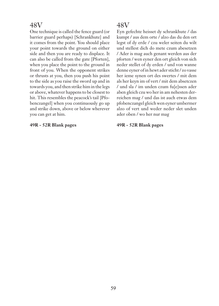One technique is called the fence guard (or barrier guard perhaps) [Schrankhute] and it comes from the point. You should place your point towards the ground on either side and then you are ready to displace. It can also be called from the gate [Pforten], when you place the point to the ground in front of you. When the opponent strikes or thrusts at you, then you push his point to the side as you raise the sword up and in towards you, and then strike him in the legs or above, whatever happens to be closest to hit. This resembles the peacock's tail [Pfobenczangel] when you continuously go up and strike down, above or below wherever you can get at him.

#### **49R - 52R Blank pages**

### 48V

Eyn gefechte heisset dy schrankhute / das kumpt / aus dem orte / alzo das du den ort legst of dy erde / czu weler seiten du wilt und stellest dich do mete czum abesetzen / Ader is mag auch genant werden aus der pforten / wen eyner den ort gleich von sich neder stellet of dy erden / und von wanne denne eyner of in hewt ader sticht / zo vasse her ieme synen ort des swertes / mit dem als her keyn im of vert / mit dem absetczen / und sla / im unden czum fu[e]ssen ader aben gleich czu wo her in am nehesten derreichen mag / und das ist auch etwas dem pfobenczangel gleich wen eyner umbermer alzo of vert und weder neder slet unden ader oben / wo her nur mag

**49R - 52R Blank pages**